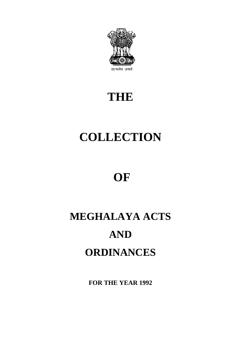

# **THE**

# **COLLECTION**

# **OF**

# **MEGHALAYA ACTS AND ORDINANCES**

**FOR THE YEAR 1992**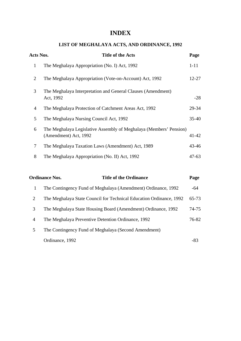## **INDEX**

## **LIST OF MEGHALAYA ACTS, AND ORDINANCE, 1992**

| Acts Nos.      | <b>Title of the Acts</b>                                                                    | Page      |
|----------------|---------------------------------------------------------------------------------------------|-----------|
| $\mathbf{1}$   | The Meghalaya Appropriation (No. I) Act, 1992                                               | $1 - 11$  |
| 2              | The Meghalaya Appropriation (Vote-on-Account) Act, 1992                                     | $12 - 27$ |
| 3              | The Meghalaya Interpretation and General Clauses (Amendment)<br>Act, 1992                   | $-28$     |
| $\overline{4}$ | The Meghalaya Protection of Catchment Areas Act, 1992                                       | 29-34     |
| 5              | The Meghalaya Nursing Council Act, 1992                                                     | $35 - 40$ |
| 6              | The Meghalaya Legislative Assembly of Meghalaya (Members' Pension)<br>(Amendment) Act, 1992 | $41 - 42$ |
| $\overline{7}$ | The Meghalaya Taxation Laws (Amendment) Act, 1989                                           | $43 - 46$ |
| 8              | The Meghalaya Appropriation (No. II) Act, 1992                                              | $47 - 63$ |
|                |                                                                                             |           |

|   | <b>Title of the Ordinance</b><br><b>Ordinance Nos.</b>              | Page      |
|---|---------------------------------------------------------------------|-----------|
| 1 | The Contingency Fund of Meghalaya (Amendment) Ordinance, 1992       | -64       |
| 2 | The Meghalaya State Council for Technical Education Ordinance, 1992 | $65 - 73$ |
| 3 | The Meghalaya State Housing Board (Amendment) Ordinance, 1992       | $74 - 75$ |
| 4 | The Meghalaya Preventive Detention Ordinance, 1992                  | 76-82     |
| 5 | The Contingency Fund of Meghalaya (Second Amendment)                |           |
|   | Ordinance, 1992                                                     | -83       |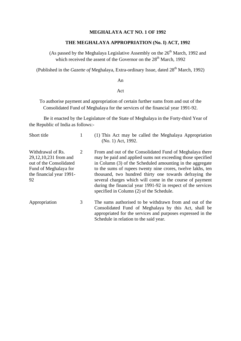#### **MEGHALAYA ACT NO. 1 OF 1992**

#### **THE MEGHALAYA APPROPRIATION (No. I) ACT, 1992**

(As passed by the Meghalaya Legislative Assembly on the  $26<sup>th</sup>$  March, 1992 and which received the assent of the Governor on the  $28<sup>th</sup>$  March, 1992

(Published in the *Gazette of* Meghalaya, Extra-ordinary Issue, dated 28<sup>th</sup> March, 1992)

An

#### Act

To authorise payment and appropriation of certain further sums from and out of the Consolidated Fund of Meghalaya for the services of the financial year 1991-92.

Be it enacted by the Legislature of the State of Meghalaya in the Forty-third Year of the Republic of India as follows:-

| Short title                                                                                                                      | 1 | (1) This Act may be called the Meghalaya Appropriation<br>(No. 1) Act, 1992.                                                                                                                                                                                                                                                                                                                                                                                                         |
|----------------------------------------------------------------------------------------------------------------------------------|---|--------------------------------------------------------------------------------------------------------------------------------------------------------------------------------------------------------------------------------------------------------------------------------------------------------------------------------------------------------------------------------------------------------------------------------------------------------------------------------------|
| Withdrawal of Rs.<br>29,12,10,231 from and<br>out of the Consolidated<br>Fund of Meghalaya for<br>the financial year 1991-<br>92 | 2 | From and out of the Consolidated Fund of Meghalaya there<br>may be paid and applied sums not exceeding those specified<br>in Column (3) of the Scheduled amounting in the aggregate<br>to the sums of rupees twenty nine crores, twelve lakhs, ten<br>thousand, two hundred thirty one towards defraying the<br>several charges which will come in the course of payment<br>during the financial year 1991-92 in respect of the services<br>specified in Column (2) of the Schedule. |
| Appropriation                                                                                                                    | 3 | The sums authorised to be withdrawn from and out of the<br>Consolidated Fund of Meghalaya by this Act, shall be<br>appropriated for the services and purposes expressed in the<br>Schedule in relation to the said year.                                                                                                                                                                                                                                                             |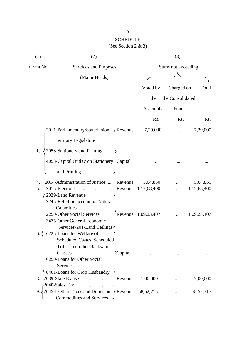## SCHEDULE (See Section 2 & 3)

| (1)       | (2)                                                                                                                                                                                     |             | (3)                |             |
|-----------|-----------------------------------------------------------------------------------------------------------------------------------------------------------------------------------------|-------------|--------------------|-------------|
| Grant No. | Services and Purposes                                                                                                                                                                   |             | Sums not exceeding |             |
|           | (Major Heads)                                                                                                                                                                           |             |                    |             |
|           |                                                                                                                                                                                         | Voted by    | Charged on         | Total       |
|           |                                                                                                                                                                                         | the         | the Consolidated   |             |
|           |                                                                                                                                                                                         | Assembly    | Fund               |             |
|           |                                                                                                                                                                                         | Rs.         | Rs.                | Rs.         |
|           | 2011-Parliamentary/State/Union<br>Revenue                                                                                                                                               | 7,29,000    |                    | 7,29,000    |
|           | <b>Territory Legislature</b>                                                                                                                                                            |             |                    |             |
| 1.        | 2058-Stationery and Printing                                                                                                                                                            |             |                    |             |
|           | 4058-Capital Outlay on Stationery<br>Capital                                                                                                                                            |             |                    |             |
|           | and Printing                                                                                                                                                                            |             |                    |             |
| 4.        | 2014-Administration of Justice<br>Revenue                                                                                                                                               | 5,64,850    |                    | 5,64,850    |
| 5.        | 2015-Elections<br>Revenue<br>2029-Land Revenue                                                                                                                                          | 1,12,68,400 |                    | 1,12,68,400 |
|           | 2245-Relief on account of Natural<br>Calamities<br>2250-Other Social Services<br>Revenue<br>3475-Other General Economic<br>Services-201-Land Ceilings                                   | 1,09,23,407 |                    | 1,09,23,407 |
| 6.        | 6225-Loans for Welfare of<br>Scheduled Castes, Scheduled<br>Tribes and other Backward<br>Classes<br>Capital<br>6250-Loans for Other Social<br>Services<br>6401-Loans for Crop Husbandry |             |                    |             |
| 8.        | 2039-State Excise<br>Revenue                                                                                                                                                            | 7,00,000    |                    | 7,00,000    |
| 9.        | 2040-Sales Tax<br>2045-I-Other Taxes and Duties on<br>$\&$ Revenue<br><b>Commodities and Services</b>                                                                                   | 58, 52, 715 |                    | 58, 52, 715 |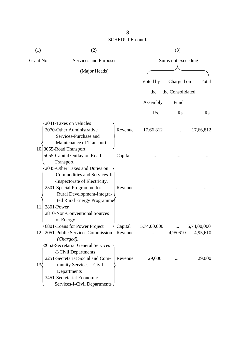| (1)               | (2)                                                       |         |             | (3)                |             |
|-------------------|-----------------------------------------------------------|---------|-------------|--------------------|-------------|
| Grant No.         | Services and Purposes                                     |         |             | Sums not exceeding |             |
|                   | (Major Heads)                                             |         |             |                    |             |
|                   |                                                           |         | Voted by    | Charged on         | Total       |
|                   |                                                           |         | the         | the Consolidated   |             |
|                   |                                                           |         | Assembly    | Fund               |             |
|                   |                                                           |         | Rs.         | Rs.                | Rs.         |
|                   | 2041-Taxes on vehicles                                    |         |             |                    |             |
|                   | 2070-Other Administrative                                 | Revenue | 17,66,812   |                    | 17,66,812   |
|                   | Services-Purchase and                                     |         |             |                    |             |
|                   | Maintenance of Transport                                  |         |             |                    |             |
|                   | 10.3055-Road Transport                                    |         |             |                    |             |
|                   | 5055-Capital Outlay on Road                               | Capital |             |                    |             |
|                   | Transport                                                 |         |             |                    |             |
|                   | 2045-Other Taxes and Duties on                            |         |             |                    |             |
|                   | <b>Commodities and Services-II</b>                        |         |             |                    |             |
|                   | -Inspectorate of Electricity.                             |         |             |                    |             |
|                   | 2501-Special Programme for                                | Revenue |             |                    |             |
|                   | Rural Development-Integra-                                |         |             |                    |             |
|                   | ted Rural Energy Programme                                |         |             |                    |             |
| 11.<br>2801-Power |                                                           |         |             |                    |             |
|                   | 2810-Non-Conventional Sources                             |         |             |                    |             |
|                   | of Energy                                                 |         |             |                    |             |
|                   | 6801-Loans for Power Project                              | Capital | 5,74,00,000 |                    | 5,74,00,000 |
|                   | 12. 2051-Public Services Commission Revenue<br>(Charged). |         | $\cdots$    | 4,95,610           | 4,95,610    |
|                   | 2052-Secretariat General Services                         |         |             |                    |             |
|                   | -I-Civil Departments                                      |         |             |                    |             |
|                   | 2251-Secretariat Social and Com-                          | Revenue | 29,000      |                    | 29,000      |
| 13 <sub>5</sub>   | munity Services-I-Civil                                   |         |             |                    |             |
|                   | Departments                                               |         |             |                    |             |
|                   | 3451-Secretariat Economic                                 |         |             |                    |             |
|                   | Services-I-Civil Departments                              |         |             |                    |             |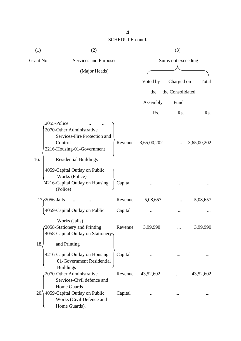| (1)       | (2)                                                                                                                                               |         |             | (3)                |             |
|-----------|---------------------------------------------------------------------------------------------------------------------------------------------------|---------|-------------|--------------------|-------------|
| Grant No. | Services and Purposes                                                                                                                             |         |             | Sums not exceeding |             |
|           | (Major Heads)                                                                                                                                     |         |             |                    |             |
|           |                                                                                                                                                   |         | Voted by    | Charged on         | Total       |
|           |                                                                                                                                                   |         |             |                    |             |
|           |                                                                                                                                                   |         | the         | the Consolidated   |             |
|           |                                                                                                                                                   |         | Assembly    | Fund               |             |
|           |                                                                                                                                                   |         | Rs.         | Rs.                | Rs.         |
| 16.       | 2055-Police<br>2070-Other Administrative<br>Services-Fire Protection and<br>Control<br>2216-Housing-01-Government<br><b>Residential Buildings</b> | Revenue | 3,65,00,202 |                    | 3,65,00,202 |
|           | 4059-Capital Outlay on Public<br>Works (Police)<br>4216-Capital Outlay on Housing<br>(Police)                                                     | Capital |             |                    |             |
|           | 17, 2056-Jails                                                                                                                                    | Revenue | 5,08,657    |                    | 5,08,657    |
|           | 4059-Capital Outlay on Public                                                                                                                     | Capital |             | $\cdots$           |             |
|           | Works (Jails)<br>(2058-Stationery and Printing<br>4058-Capital Outlay on Stationery                                                               | Revenue | 3,99,990    |                    | 3,99,990    |
| 18.       | and Printing<br>4216-Capital Outlay on Housing-<br>01-Government Residential<br><b>Buildings</b>                                                  | Capital |             |                    |             |
|           | 2070-Other Administrative<br>Services-Civil defence and<br>Home Guards                                                                            | Revenue | 43,52,602   |                    | 43,52,602   |
|           | 20.) 4059-Capital Outlay on Public<br>Works (Civil Defence and<br>Home Guards).                                                                   | Capital |             |                    |             |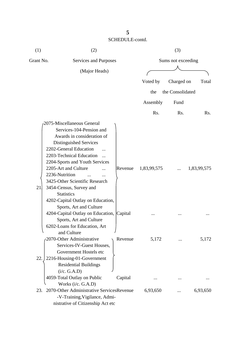| (1)       | (2)                                          |         |             | (3)                |             |
|-----------|----------------------------------------------|---------|-------------|--------------------|-------------|
| Grant No. | Services and Purposes                        |         |             | Sums not exceeding |             |
|           | (Major Heads)                                |         |             |                    |             |
|           |                                              |         | Voted by    | Charged on         | Total       |
|           |                                              |         | the         | the Consolidated   |             |
|           |                                              |         |             |                    |             |
|           |                                              |         | Assembly    | Fund               |             |
|           |                                              |         | Rs.         | Rs.                | Rs.         |
|           | 2075-Miscellaneous General                   |         |             |                    |             |
|           | Services-104-Pension and                     |         |             |                    |             |
|           | Awards in consideration of                   |         |             |                    |             |
|           | Distinguished Services                       |         |             |                    |             |
|           | 2202-General Education                       |         |             |                    |             |
|           | 2203-Technical Education<br>$\ddotsc$        |         |             |                    |             |
|           | 2204-Sports and Youth Services               |         |             |                    |             |
|           | 2205-Art and Culture                         | Revenue | 1,83,99,575 |                    | 1,83,99,575 |
|           | 2236-Nutrition                               |         |             |                    |             |
|           | 3425-Other Scientific Research               |         |             |                    |             |
| 21        | 3454-Census, Survey and                      |         |             |                    |             |
|           | <b>Statistics</b>                            |         |             |                    |             |
|           | 4202-Capital Outlay on Education,            |         |             |                    |             |
|           | Sports, Art and Culture                      |         |             |                    |             |
|           | 4204-Capital Outlay on Education, Capital    |         |             |                    |             |
|           | Sports, Art and Culture                      |         |             |                    |             |
|           | 6202-Loans for Education, Art<br>and Culture |         |             |                    |             |
|           | 2070-Other Administrative                    | Revenue | 5,172       |                    | 5,172       |
|           | Services-IV-Guest Houses,                    |         |             |                    |             |
|           | Government Hostels etc                       |         |             |                    |             |
| 22.       | 2216-Housing-01-Government                   |         |             |                    |             |
|           | <b>Residential Buildings</b>                 |         |             |                    |             |
|           | (i/c. G.A.D)                                 |         |             |                    |             |
|           | 4059-Total Outlay on Public                  | Capital |             |                    |             |
|           | Works (i/c. G.A.D)                           |         |             |                    |             |
| 23.       | 2070-Other Administrative ServicesRevenue    |         | 6,93,650    |                    | 6,93,650    |
|           | -V-Training, Vigilance, Admi-                |         |             |                    |             |
|           | nistrative of Citizenship Act etc            |         |             |                    |             |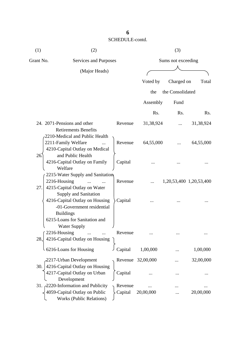| (1)       | (2)                                                                                                                   |                    |                   | (3)                     |                  |
|-----------|-----------------------------------------------------------------------------------------------------------------------|--------------------|-------------------|-------------------------|------------------|
| Grant No. | Services and Purposes                                                                                                 |                    |                   | Sums not exceeding      |                  |
|           | (Major Heads)                                                                                                         |                    |                   |                         |                  |
|           |                                                                                                                       |                    | Voted by          | Charged on              | Total            |
|           |                                                                                                                       |                    | the               | the Consolidated        |                  |
|           |                                                                                                                       |                    | Assembly          | Fund                    |                  |
|           |                                                                                                                       |                    | Rs.               | Rs.                     | R <sub>s</sub> . |
|           | 24. 2071-Pensions and other<br><b>Retirements Benefits</b>                                                            | Revenue            | 31,38,924         |                         | 31,38,924        |
|           | 2210-Medical and Public Health<br>2211-Family Welfare<br>4210-Capital Outlay on Medical                               | Revenue            | 64,55,000         |                         | 64,55,000        |
| 26.       | and Public Health<br>4216-Capital Outlay on Family<br>Welfare                                                         | Capital            |                   |                         |                  |
| 27.       | 2215-Water Supply and Sanitation<br>2216-Housing<br>4215-Capital Outlay on Water<br>Supply and Sanitation             | Revenue            |                   | 1,20,53,400 1,20,53,400 |                  |
|           | 4216-Capital Outlay on Housing<br>-01-Government residential<br><b>Buildings</b><br>6215-Loans for Sanitation and     | Capital            |                   |                         |                  |
| 28.       | Water Supply<br>2216-Housing<br>4216-Capital Outlay on Housing                                                        | Revenue            |                   |                         |                  |
|           | 6216-Loans for Housing                                                                                                | Capital            | 1,00,000          |                         | 1,00,000         |
| 30.       | 2217-Urban Development<br>4216-Capital Outlay on Housing<br>4217-Capital Outlay on Urban                              | Capital            | Revenue 32,00,000 |                         | 32,00,000        |
|           | Development<br>31. 2220-Information and Publicity<br>4059-Capital Outlay on Public<br><b>Works (Public Relations)</b> | Revenue<br>Capital | 20,00,000         |                         | 20,00,000        |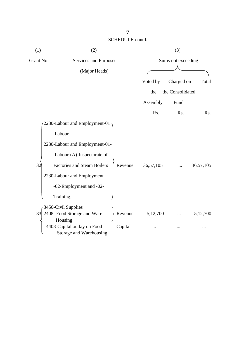| (1)       | (2)                                                    |         |           | (3)                |                  |
|-----------|--------------------------------------------------------|---------|-----------|--------------------|------------------|
| Grant No. | Services and Purposes                                  |         |           | Sums not exceeding |                  |
|           | (Major Heads)                                          |         |           |                    |                  |
|           |                                                        |         | Voted by  | Charged on         | Total            |
|           |                                                        |         | the       | the Consolidated   |                  |
|           |                                                        |         | Assembly  | Fund               |                  |
|           |                                                        |         | Rs.       | Rs.                | R <sub>s</sub> . |
|           | 2230-Labour and Employment-01                          |         |           |                    |                  |
|           | Labour                                                 |         |           |                    |                  |
|           | 2230-Labour and Employment-01-                         |         |           |                    |                  |
|           | Labour-(A)-Inspectorate of                             |         |           |                    |                  |
| 32        | <b>Factories and Steam Boilers</b>                     | Revenue | 36,57,105 |                    | 36,57,105        |
|           | 2230-Labour and Employment                             |         |           |                    |                  |
|           | -02-Employment and -02-                                |         |           |                    |                  |
|           | Training.                                              |         |           |                    |                  |
|           | 3456-Civil Supplies                                    |         |           |                    |                  |
|           | 33 2408- Food Storage and Ware-<br>Housing             | Revenue | 5,12,700  |                    | 5,12,700         |
|           | 4408-Capital outlay on Food<br>Storage and Warehousing | Capital |           |                    |                  |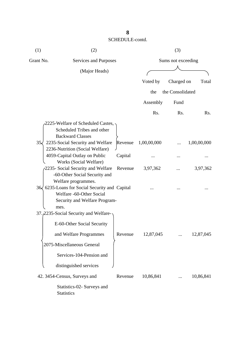| (1)          | (2)                                                                                                                                                               |                    |             | (3)              |             |
|--------------|-------------------------------------------------------------------------------------------------------------------------------------------------------------------|--------------------|-------------|------------------|-------------|
| Grant No.    | Services and Purposes                                                                                                                                             | Sums not exceeding |             |                  |             |
|              | (Major Heads)                                                                                                                                                     |                    |             |                  |             |
|              |                                                                                                                                                                   |                    | Voted by    | Charged on       | Total       |
|              |                                                                                                                                                                   |                    | the         | the Consolidated |             |
|              |                                                                                                                                                                   |                    | Assembly    | Fund             |             |
|              |                                                                                                                                                                   |                    | Rs.         | Rs.              | Rs.         |
| $35\sqrt{ }$ | 2225-Welfare of Scheduled Castes,<br>Scheduled Tribes and other<br><b>Backward Classes</b><br>2235-Social Security and Welfare<br>2236-Nutrition (Social Welfare) | Revenue            | 1,00,00,000 |                  | 1,00,00,000 |
|              | 4059-Capital Outlay on Public                                                                                                                                     | Capital            |             |                  |             |
|              | Works (Social Welfare)<br>2235- Social Security and Welfare<br>-60-Other Social Security and                                                                      | Revenue            | 3,97,362    |                  | 3,97,362    |
|              | Welfare programmes.<br>36 6235-Loans for Social Security and Capital<br>Welfare -60-Other Social<br>Security and Welfare Program-<br>mes.                         |                    |             |                  |             |
|              | 37. 2235-Social Security and Welfare-<br>E-60-Other Social Security                                                                                               |                    |             |                  |             |
|              | and Welfare Programmes                                                                                                                                            | Revenue            | 12,87,045   |                  | 12,87,045   |
|              | 2075-Miscellaneous General                                                                                                                                        |                    |             |                  |             |
|              | Services-104-Pension and                                                                                                                                          |                    |             |                  |             |
|              | distinguished services                                                                                                                                            |                    |             |                  |             |
|              | 42. 3454-Census, Surveys and                                                                                                                                      | Revenue            | 10,86,841   |                  | 10,86,841   |
|              | Statistics-02- Surveys and<br><b>Statistics</b>                                                                                                                   |                    |             |                  |             |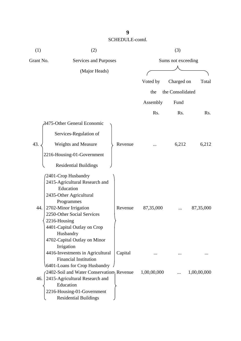| (1)       | (2)                                      |         |             | (3)                |             |
|-----------|------------------------------------------|---------|-------------|--------------------|-------------|
| Grant No. | Services and Purposes                    |         |             | Sums not exceeding |             |
|           | (Major Heads)                            |         |             |                    |             |
|           |                                          |         | Voted by    | Charged on         | Total       |
|           |                                          |         |             |                    |             |
|           |                                          |         | the         | the Consolidated   |             |
|           |                                          |         | Assembly    | Fund               |             |
|           |                                          |         | Rs.         | Rs.                | Rs.         |
|           | 3475-Other General Economic              |         |             |                    |             |
|           | Services-Regulation of                   |         |             |                    |             |
| 43.       | <b>Weights and Measure</b>               | Revenue |             | 6,212              | 6,212       |
|           | 2216-Housing-01-Government               |         |             |                    |             |
|           | <b>Residential Buildings</b>             |         |             |                    |             |
|           | 2401-Crop Husbandry                      |         |             |                    |             |
|           | 2415-Agricultural Research and           |         |             |                    |             |
|           | Education                                |         |             |                    |             |
|           | 2435-Other Agricultural                  |         |             |                    |             |
|           | Programmes                               |         |             |                    |             |
| 44.       | 2702-Minor Irrigation                    | Revenue | 87,35,000   |                    | 87, 35, 000 |
|           | 2250-Other Social Services               |         |             |                    |             |
|           | 2216-Housing                             |         |             |                    |             |
|           | 4401-Capital Outlay on Crop              |         |             |                    |             |
|           | Husbandry                                |         |             |                    |             |
|           | 4702-Capital Outlay on Minor             |         |             |                    |             |
|           | Irrigation                               |         |             |                    |             |
|           | 4416-Investments in Agricultural         | Capital |             |                    |             |
|           | <b>Financial Institution</b>             |         |             |                    |             |
|           | 6401-Loans for Crop Husbandry            |         |             |                    |             |
|           | 2402-Soil and Water Conservation Revenue |         | 1,00,00,000 |                    | 1,00,00,000 |
| 46.       | 2415-Agricultural Research and           |         |             |                    |             |
|           | Education                                |         |             |                    |             |
|           | 2216-Housing-01-Government               |         |             |                    |             |
|           | <b>Residential Buildings</b>             |         |             |                    |             |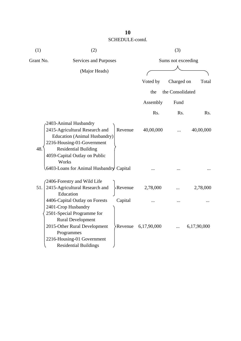| (1)       | (2)                                        |             | (3)                |             |
|-----------|--------------------------------------------|-------------|--------------------|-------------|
| Grant No. | Services and Purposes                      |             | Sums not exceeding |             |
|           | (Major Heads)                              |             |                    |             |
|           |                                            | Voted by    | Charged on         | Total       |
|           |                                            |             |                    |             |
|           |                                            | the         | the Consolidated   |             |
|           |                                            | Assembly    | Fund               |             |
|           |                                            | Rs.         | Rs.                | Rs.         |
|           | 2403-Animal Husbandry                      |             |                    |             |
|           | 2415-Agricultural Research and<br>Revenue  | 40,00,000   |                    | 40,00,000   |
|           | <b>Education (Animal Husbandry)</b>        |             |                    |             |
| 48.       | 2216-Housing-01-Government                 |             |                    |             |
|           | <b>Residential Building</b>                |             |                    |             |
|           | 4059-Capital Outlay on Public<br>Works     |             |                    |             |
|           | 6403-Loans for Animal Husbandry Capital    |             |                    |             |
|           | 2406-Forestry and Wild Life                |             |                    |             |
| 51.       | 2415-Agricultural Research and<br>>Revenue | 2,78,000    |                    | 2,78,000    |
|           | Education                                  |             |                    |             |
|           | 4406-Capital Outlay on Forests<br>Capital  |             |                    |             |
|           | 2401-Crop Husbandry                        |             |                    |             |
|           | 2501-Special Programme for                 |             |                    |             |
|           | <b>Rural Development</b>                   |             |                    |             |
|           | 2015-Other Rural Development<br>Revenue    | 6,17,90,000 |                    | 6,17,90,000 |
|           | Programmes                                 |             |                    |             |
|           | 2216-Housing-01 Government                 |             |                    |             |
|           | <b>Residential Buildings</b>               |             |                    |             |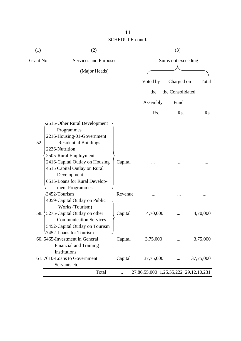| (1)       | (2)                                                                                                                                                                                                                                                                                       |         |                                       | (3)                |           |
|-----------|-------------------------------------------------------------------------------------------------------------------------------------------------------------------------------------------------------------------------------------------------------------------------------------------|---------|---------------------------------------|--------------------|-----------|
| Grant No. | Services and Purposes                                                                                                                                                                                                                                                                     |         |                                       | Sums not exceeding |           |
|           | (Major Heads)                                                                                                                                                                                                                                                                             |         |                                       |                    |           |
|           |                                                                                                                                                                                                                                                                                           |         | Voted by                              | Charged on         | Total     |
|           |                                                                                                                                                                                                                                                                                           |         | the                                   | the Consolidated   |           |
|           |                                                                                                                                                                                                                                                                                           |         | Assembly                              | Fund               |           |
|           |                                                                                                                                                                                                                                                                                           |         | Rs.                                   | Rs.                | Rs.       |
| 52.       | 2515-Other Rural Development<br>Programmes<br>2216-Housing-01-Government<br><b>Residential Buildings</b><br>2236-Nutrition<br>2505-Rural Employment<br>2416-Capital Outlay on Housing<br>4515 Capital Outlay on Rural<br>Development<br>6515-Loans for Rural Develop-<br>ment Programmes. | Capital |                                       |                    |           |
|           | 3452-Tourism<br>4059-Capital Outlay on Public                                                                                                                                                                                                                                             | Revenue |                                       |                    |           |
| 58.       | Works (Tourism)<br>5275-Capital Outlay on other<br><b>Communication Services</b><br>5452-Capital Outlay on Tourism<br>7452-Loans for Tourism                                                                                                                                              | Capital | 4,70,000                              |                    | 4,70,000  |
|           | 60. 5465-Investment in General                                                                                                                                                                                                                                                            | Capital | 3,75,000                              |                    | 3,75,000  |
|           | <b>Financial and Training</b>                                                                                                                                                                                                                                                             |         |                                       |                    |           |
|           | Institutions<br>61.7610-Loans to Government<br>Servants etc                                                                                                                                                                                                                               | Capital | 37,75,000                             |                    | 37,75,000 |
|           | Total                                                                                                                                                                                                                                                                                     |         | 27,86,55,000 1,25,55,222 29,12,10,231 |                    |           |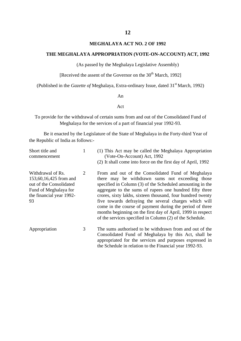#### **MEGHALAYA ACT NO. 2 OF 1992**

#### **THE MEGHALAYA APPROPRIATION (VOTE-ON-ACCOUNT) ACT, 1992**

(As passed by the Meghalaya Legislative Assembly)

[Received the assent of the Governor on the  $30<sup>th</sup>$  March, 1992]

(Published in the *Gazette of* Meghalaya, Extra-ordinary Issue, dated 31<sup>st</sup> March, 1992)

#### An

#### Act

To provide for the withdrawal of certain sums from and out of the Consolidated Fund of Meghalaya for the services of a part of financial year 1992-93.

Be it enacted by the Legislature of the State of Meghalaya in the Forty-third Year of the Republic of India as follows:-

| Short title and<br>commencement                                                                                                   |   | (1) This Act may be called the Meghalaya Appropriation<br>(Vote-On-Account) Act, 1992<br>(2) It shall come into force on the first day of April, 1992                                                                                                                                                                                                                                                                                                                                                                                       |
|-----------------------------------------------------------------------------------------------------------------------------------|---|---------------------------------------------------------------------------------------------------------------------------------------------------------------------------------------------------------------------------------------------------------------------------------------------------------------------------------------------------------------------------------------------------------------------------------------------------------------------------------------------------------------------------------------------|
| Withdrawal of Rs.<br>153,60,16,425 from and<br>out of the Consolidated<br>Fund of Meghalaya for<br>the financial year 1992-<br>93 | 2 | From and out of the Consolidated Fund of Meghalaya<br>there may be withdrawn sums not exceeding those<br>specified in Column (3) of the Scheduled amounting in the<br>aggregate to the sums of rupees one hundred fifty three<br>crores, sixty lakhs, sixteen thousand, four hundred twenty<br>five towards defraying the several charges which will<br>come in the course of payment during the period of three<br>months beginning on the first day of April, 1999 in respect<br>of the services specified in Column (2) of the Schedule. |
| Appropriation                                                                                                                     | 3 | The sums authorised to be withdrawn from and out of the<br>Consolidated Fund of Meghalaya by this Act, shall be<br>appropriated for the services and purposes expressed in<br>the Schedule in relation to the Financial year 1992-93.                                                                                                                                                                                                                                                                                                       |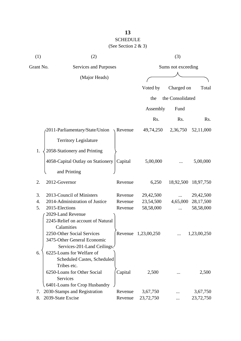## **13** SCHEDULE

| SCHEDULE               |  |
|------------------------|--|
| (See Section 2 $\&$ 3) |  |

| (1)       | (2)                                                                                      |                  |                     | (3)                |             |  |
|-----------|------------------------------------------------------------------------------------------|------------------|---------------------|--------------------|-------------|--|
| Grant No. | Services and Purposes                                                                    |                  |                     | Sums not exceeding |             |  |
|           | (Major Heads)                                                                            |                  |                     |                    |             |  |
|           |                                                                                          |                  | Voted by            | Charged on         | Total       |  |
|           |                                                                                          |                  | the                 | the Consolidated   |             |  |
|           |                                                                                          |                  |                     |                    |             |  |
|           |                                                                                          |                  | Assembly            | Fund               |             |  |
|           |                                                                                          |                  | Rs.                 | Rs.                | Rs.         |  |
|           | 2011-Parliamentary/State/Union                                                           | $\sqrt{$ Revenue | 49,74,250           | 2,36,750           | 52,11,000   |  |
|           | <b>Territory Legislature</b>                                                             |                  |                     |                    |             |  |
| 1.        | 2058-Stationery and Printing                                                             |                  |                     |                    |             |  |
|           | 4058-Capital Outlay on Stationery                                                        | Capital          | 5,00,000            |                    | 5,00,000    |  |
|           | and Printing                                                                             |                  |                     |                    |             |  |
| 2.        | 2012-Governor                                                                            | Revenue          | 6,250               | 18,92,500          | 18,97,750   |  |
| 3.        | 2013-Council of Ministers                                                                | Revenue          | 29,42,500           |                    | 29,42,500   |  |
| 4.        | 2014-Administration of Justice                                                           | Revenue          | 23,54,500           | 4,65,000           | 28,17,500   |  |
| 5.        | 2015-Elections                                                                           | Revenue          | 58,58,000           |                    | 58,58,000   |  |
|           | 2029-Land Revenue<br>2245-Relief on account of Natural<br>Calamities                     |                  |                     |                    |             |  |
|           | 2250-Other Social Services<br>3475-Other General Economic<br>Services-201-Land Ceilings. |                  | Revenue 1,23,00,250 |                    | 1,23,00,250 |  |
| 6.        | 6225-Loans for Welfare of<br><b>Scheduled Castes, Scheduled</b><br>Tribes etc.           |                  |                     |                    |             |  |
|           | 6250-Loans for Other Social<br><b>Services</b><br>6401-Loans for Crop Husbandry          | Capital          | 2,500               |                    | 2,500       |  |
| 7.        | 2030-Stamps and Registration                                                             | Revenue          | 3,67,750            |                    | 3,67,750    |  |
| 8.        | 2039-State Excise                                                                        | Revenue          | 23,72,750           |                    | 23,72,750   |  |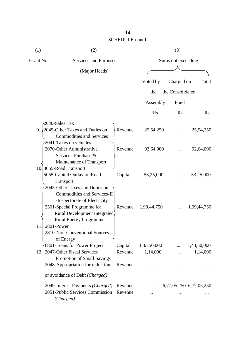| (1)       | (2)                                                       |          | (3)                |                  |                         |
|-----------|-----------------------------------------------------------|----------|--------------------|------------------|-------------------------|
| Grant No. | Services and Purposes                                     |          | Sums not exceeding |                  |                         |
|           | (Major Heads)                                             |          |                    |                  |                         |
|           |                                                           |          | Voted by           | Charged on       | Total                   |
|           |                                                           |          | the                | the Consolidated |                         |
|           |                                                           |          | Assembly           | Fund             |                         |
|           |                                                           |          | Rs.                | Rs.              | Rs.                     |
|           | 2040-Sales Tax                                            |          |                    |                  |                         |
| $9. \, .$ | 2045-Other Taxes and Duties on                            | -Revenue | 25,54,250          |                  | 25,54,250               |
|           | <b>Commodities and Services</b><br>2041-Taxes on vehicles |          |                    |                  |                         |
|           | 2070-Other Administrative                                 | Revenue  | 92,64,000          |                  | 92,64,000               |
|           | Services-Purchase &                                       |          |                    |                  |                         |
|           | Maintenance of Transport                                  |          |                    |                  |                         |
|           | 10.3055-Road Transport                                    |          |                    |                  |                         |
|           | 5055-Capital Outlay on Road                               | Capital  | 53,25,000          |                  | 53,25,000               |
|           | Transport<br>2045-Other Taxes and Duties on               |          |                    |                  |                         |
|           | <b>Commodities and Services-II</b>                        |          |                    |                  |                         |
|           | -Inspectorate of Electricity                              |          |                    |                  |                         |
|           | 2501-Special Programme for                                | Revenue  | 1,99,44,750        |                  | 1,99,44,750             |
|           | Rural Development Integrated                              |          |                    |                  |                         |
|           | <b>Rural Energy Programme</b>                             |          |                    |                  |                         |
|           | 2801-Power                                                |          |                    |                  |                         |
|           | 2810-Non-Conventional Sources                             |          |                    |                  |                         |
|           | of Energy                                                 |          |                    |                  |                         |
|           | 6801-Loans for Power Project                              | Capital  | 1,43,50,000        |                  | 1,43,50,000             |
|           | 12. 2047-Other Fiscal Services                            | Revenue  | 1,14,000           |                  | 1,14,000                |
|           | Promotion of Small Savings                                |          |                    |                  |                         |
|           | 2048-Appropriation for reduction                          | Revenue  |                    |                  |                         |
|           | or avoidance of Debt (Charged)                            |          |                    |                  |                         |
|           | 2049-Interest Payments (Charged)                          | Revenue  |                    |                  | 6,77,05,250 6,77,05,250 |
|           | 2051-Public Services Commission                           | Revenue  |                    |                  |                         |
|           | (Charged)                                                 |          |                    |                  |                         |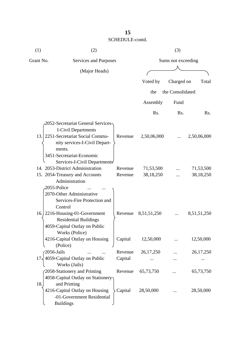| (1)       | (2)                                                                                                               |         |                    | (3)              |             |
|-----------|-------------------------------------------------------------------------------------------------------------------|---------|--------------------|------------------|-------------|
| Grant No. | Services and Purposes                                                                                             |         | Sums not exceeding |                  |             |
|           | (Major Heads)                                                                                                     |         |                    |                  |             |
|           |                                                                                                                   |         | Voted by           | Charged on       | Total       |
|           |                                                                                                                   |         |                    |                  |             |
|           |                                                                                                                   |         | the                | the Consolidated |             |
|           |                                                                                                                   |         | Assembly           | Fund             |             |
|           |                                                                                                                   |         | Rs.                | Rs.              | Rs.         |
|           | <b>2052-Secretariat General Services-</b><br><b>I-Civil Departments</b><br>13. 2251-Secretariat Social Commu-     | Revenue | 2,50,06,000        |                  | 2,50,06,000 |
|           | nity services-I-Civil Depart-<br>ments.<br>3451-Secretariat-Economic<br>Services-I-Civil Departments              |         |                    |                  |             |
|           | 14. 2053-District Administration                                                                                  | Revenue | 71,53,500          |                  | 71,53,500   |
|           | 15. 2054-Treasury and Accounts<br>Administration<br>2055-Police                                                   | Revenue | 38,18,250          |                  | 38, 18, 250 |
|           | 2070-Other Administrative<br>Services-Fire Protection and<br>Control                                              |         |                    |                  |             |
|           | 16. 2216-Housing-01-Government<br><b>Residential Buildings</b><br>4059-Capital Outlay on Public<br>Works (Police) | Revenue | 8,51,51,250        |                  | 8,51,51,250 |
|           | 4216-Capital Outlay on Housing<br>(Police)                                                                        | Capital | 12,50,000          |                  | 12,50,000   |
|           | $-2056$ -Jails                                                                                                    | Revenue | 26, 17, 250        |                  | 26, 17, 250 |
|           | 17. 4059-Capital Outlay on Public<br>Works (Jails)                                                                | Capital |                    |                  |             |
|           | 2058-Stationery and Printing<br>4058-Capital Outlay on Stationery                                                 | Revenue | 65,73,750          |                  | 65,73,750   |
| 18.       | and Printing<br>4216-Capital Outlay on Housing<br>-01-Government Residential<br><b>Buildings</b>                  | Capital | 28,50,000          |                  | 28,50,000   |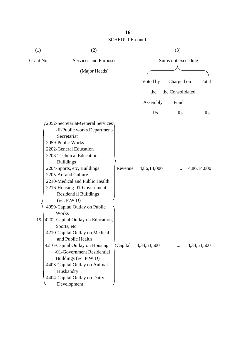| (1)       | (2)                                                                                                                                                                                                                                                                                                                                                    |         |                | (3)                |                |
|-----------|--------------------------------------------------------------------------------------------------------------------------------------------------------------------------------------------------------------------------------------------------------------------------------------------------------------------------------------------------------|---------|----------------|--------------------|----------------|
| Grant No. | Services and Purposes                                                                                                                                                                                                                                                                                                                                  |         |                | Sums not exceeding |                |
|           | (Major Heads)                                                                                                                                                                                                                                                                                                                                          |         |                |                    |                |
|           |                                                                                                                                                                                                                                                                                                                                                        |         | Voted by       | Charged on         | Total          |
|           |                                                                                                                                                                                                                                                                                                                                                        |         | the            | the Consolidated   |                |
|           |                                                                                                                                                                                                                                                                                                                                                        |         | Assembly       | Fund               |                |
|           |                                                                                                                                                                                                                                                                                                                                                        |         | Rs.            | Rs.                | Rs.            |
|           | 2052-Secretariat-General Services<br>-II-Public works Department-<br>Secretariat<br>2059-Public Works<br>2202-General Education<br>2203-Technical Education<br><b>Buildings</b><br>2204-Sports, etc, Buildings<br>2205-Art and Culture<br>2210-Medical and Public Health<br>2216-Housing-01-Government<br><b>Residential Buildings</b><br>(i/c. P.W.D) | Revenue | 4,86,14,000    |                    | 4,86,14,000    |
| 19.       | 4059-Capital Outlay on Public<br>Works<br>4202-Capital Outlay on Education,<br>Sports, etc<br>4210-Capital Outlay on Medical<br>and Public Health<br>4216-Capital Outlay on Housing<br>-01-Government Residential<br>Buildings (i/c. P.W.D)<br>4403-Capital Outlay on Animal<br>Husbandry<br>4404-Capital Outlay on Dairy<br>Development               | Capital | 3, 34, 53, 500 |                    | 3, 34, 53, 500 |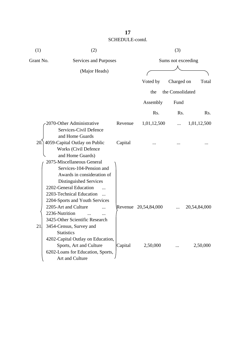| (1)       | (2)                                                                                                                                                                                                                                                                                                                         |                       |                      | (3)                |              |  |
|-----------|-----------------------------------------------------------------------------------------------------------------------------------------------------------------------------------------------------------------------------------------------------------------------------------------------------------------------------|-----------------------|----------------------|--------------------|--------------|--|
| Grant No. |                                                                                                                                                                                                                                                                                                                             | Services and Purposes |                      | Sums not exceeding |              |  |
|           | (Major Heads)                                                                                                                                                                                                                                                                                                               |                       |                      |                    |              |  |
|           |                                                                                                                                                                                                                                                                                                                             |                       | Voted by             | Charged on         | Total        |  |
|           |                                                                                                                                                                                                                                                                                                                             |                       | the                  | the Consolidated   |              |  |
|           |                                                                                                                                                                                                                                                                                                                             |                       | Assembly             | Fund               |              |  |
|           |                                                                                                                                                                                                                                                                                                                             |                       | Rs.                  | Rs.                | Rs.          |  |
|           | 2070-Other Administrative<br>Services-Civil Defence<br>and Home Guards                                                                                                                                                                                                                                                      | Revenue               | 1,01,12,500          |                    | 1,01,12,500  |  |
| 20.       | 4059-Capital Outlay on Public<br><b>Works (Civil Defence</b><br>and Home Guards)                                                                                                                                                                                                                                            | Capital               |                      |                    |              |  |
| 21        | 2075-Miscellaneous General<br>Services-104-Pension and<br>Awards in consideration of<br>Distinguished Services<br>2202-General Education<br>2203-Technical Education<br>$\dddotsc$<br>2204-Sports and Youth Services<br>2205-Art and Culture<br>2236-Nutrition<br>3425-Other Scientific Research<br>3454-Census, Survey and |                       | Revenue 20,54,84,000 |                    | 20,54,84,000 |  |
|           | <b>Statistics</b><br>4202-Capital Outlay on Education,<br>Sports, Art and Culture<br>6202-Loans for Education, Sports,<br>Art and Culture                                                                                                                                                                                   | Capital               | 2,50,000             |                    | 2,50,000     |  |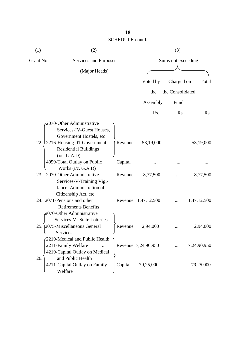| (1)       | (2)                                                                                                             |         |                     | (3)                |             |
|-----------|-----------------------------------------------------------------------------------------------------------------|---------|---------------------|--------------------|-------------|
| Grant No. | Services and Purposes                                                                                           |         |                     | Sums not exceeding |             |
|           | (Major Heads)                                                                                                   |         |                     |                    |             |
|           |                                                                                                                 |         | Voted by            | Charged on         | Total       |
|           |                                                                                                                 |         | the                 | the Consolidated   |             |
|           |                                                                                                                 |         | Assembly            | Fund               |             |
|           |                                                                                                                 |         | Rs.                 | R <sub>s</sub> .   | Rs.         |
|           | 2070-Other Administrative<br>Services-IV-Guest Houses,<br>Government Hostels, etc                               |         |                     |                    |             |
| 22.       | 2216-Housing-01-Government<br><b>Residential Buildings</b><br>(i/c. G.A.D)                                      | Revenue | 53,19,000           |                    | 53,19,000   |
|           | 4059-Total Outlay on Public                                                                                     | Capital |                     |                    |             |
| 23.       | Works (i/c. G.A.D)<br>2070-Other Administrative<br>Services-V-Training Vigi-<br>lance, Administration of        | Revenue | 8,77,500            |                    | 8,77,500    |
|           | Citizenship Act, etc<br>24. 2071-Pensions and other<br><b>Retirements Benefits</b><br>2070-Other Administrative |         | Revenue 1,47,12,500 |                    | 1,47,12,500 |
| 25        | <b>Services-VI-State Lotteries</b><br>2075-Miscellaneous General<br>Services                                    | Revenue | 2,94,000            |                    | 2,94,000    |
|           | 2210-Medical and Public Health<br>2211-Family Welfare<br>4210-Capital Outlay on Medical                         |         | Revenue 7,24,90,950 |                    | 7,24,90,950 |
| 26.       | and Public Health<br>4211-Capital Outlay on Family<br>Welfare                                                   | Capital | 79,25,000           |                    | 79,25,000   |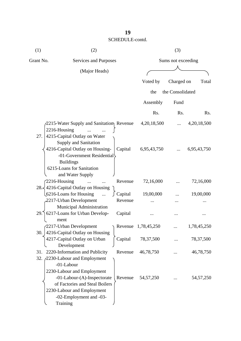| (1)       | (2)                                                           |                    |                              | (3)              |                  |
|-----------|---------------------------------------------------------------|--------------------|------------------------------|------------------|------------------|
| Grant No. | Services and Purposes                                         |                    | Sums not exceeding           |                  |                  |
|           | (Major Heads)                                                 |                    |                              |                  |                  |
|           |                                                               |                    | Voted by                     | Charged on       | Total            |
|           |                                                               |                    |                              |                  |                  |
|           |                                                               |                    | the                          | the Consolidated |                  |
|           |                                                               |                    | Assembly                     | Fund             |                  |
|           |                                                               |                    | R <sub>s</sub> .             | Rs.              | R <sub>s</sub> . |
|           | 2215-Water Supply and Sanitatiom Revenue                      |                    | 4, 20, 18, 500               |                  | 4,20,18,500      |
|           | 2216-Housing                                                  |                    |                              |                  |                  |
| 27.       | 4215-Capital Outlay on Water                                  |                    |                              |                  |                  |
|           | Supply and Sanitation<br>4216-Capital Outlay on Housing-      | Capital            | 6,95,43,750                  |                  | 6,95,43,750      |
|           | -01-Government Residential                                    |                    |                              |                  |                  |
|           | <b>Buildings</b>                                              |                    |                              |                  |                  |
|           | 6215-Loans for Sanitation                                     |                    |                              |                  |                  |
|           | and Water Supply                                              |                    |                              |                  |                  |
|           | 2216-Housing                                                  | Revenue            | 72,16,000                    |                  | 72,16,000        |
|           | 28. $\frac{1}{2}$ 4216-Capital Outlay on Housing              |                    |                              |                  |                  |
|           | 6216-Loans for Housing                                        | Capital<br>Revenue | 19,00,000                    |                  | 19,00,000        |
|           | 2217-Urban Development<br>Municipal Administration            |                    |                              |                  |                  |
| 29.       | 6217-Loans for Urban Develop-                                 | Capital            |                              |                  |                  |
|           | ment                                                          |                    |                              |                  |                  |
|           | 2217-Urban Development                                        |                    | $\Gamma$ Revenue 1,78,45,250 |                  | 1,78,45,250      |
|           | 30. 4216-Capital Outlay on Housing                            |                    |                              |                  |                  |
|           | 4217-Capital Outlay on Urban                                  | Capital            | 78, 37, 500                  |                  | 78, 37, 500      |
|           | Development                                                   |                    |                              |                  |                  |
| 31.       | 2220-Information and Publicity                                | Revenue            | 46,78,750                    |                  | 46,78,750        |
|           | 32. 2230-Labour and Employment                                |                    |                              |                  |                  |
|           | -01-Labour                                                    |                    |                              |                  |                  |
|           | 2230-Labour and Employment                                    |                    |                              |                  |                  |
|           | -01-Labour-(A)-Inspectorate<br>of Factories and Steal Boilers | Revenue            | 54, 57, 250                  |                  | 54, 57, 250      |
|           | 2230-Labour and Employment                                    |                    |                              |                  |                  |
|           | -02-Employment and -03-                                       |                    |                              |                  |                  |
|           | Training                                                      |                    |                              |                  |                  |
|           |                                                               |                    |                              |                  |                  |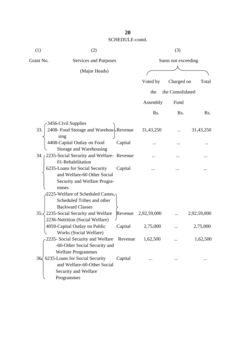| (1)       | (2)                                                                                                                       |         |             | (3)                |             |
|-----------|---------------------------------------------------------------------------------------------------------------------------|---------|-------------|--------------------|-------------|
| Grant No. | Services and Purposes                                                                                                     |         |             | Sums not exceeding |             |
|           | (Major Heads)                                                                                                             |         |             |                    |             |
|           |                                                                                                                           |         | Voted by    | Charged on         | Total       |
|           |                                                                                                                           |         | the         | the Consolidated   |             |
|           |                                                                                                                           |         | Assembly    | Fund               |             |
|           |                                                                                                                           |         | Rs.         | Rs.                | Rs.         |
|           | 3456-Civil Supplies                                                                                                       |         |             |                    |             |
| 33.       | 2408- Food Storage and Warehou Revenue                                                                                    |         | 31,43,250   |                    | 31,43,250   |
|           | sing<br>4408-Capital Outlay on Food<br>Storage and Warehousing                                                            | Capital |             |                    |             |
|           | 34. / 2235-Social Security and Welfare- Revenue                                                                           |         |             |                    |             |
|           | 01-Rehabilitation<br>6235-Loans for Social Security<br>and Welfare-60 Other Social<br>Security and Welfare Progra-        | Capital |             |                    |             |
|           | mmes<br>2225-Welfare of Scheduled Castes,<br>Scheduled Tribes and other                                                   |         |             |                    |             |
| 35.5      | <b>Backward Classes</b><br>2235-Social Security and Welfare<br>2236-Nutrition (Social Welfare)                            | Revenue | 2,92,59,000 |                    | 2,92,59,000 |
|           | 4059-Capital Outlay on Public                                                                                             | Capital | 2,75,000    |                    | 2,75,000    |
|           | Works (Social Welfare)<br>2235- Social Security and Welfare<br>-60-Other Social Security and<br><b>Welfare Programmes</b> | Revenue | 1,62,500    |                    | 1,62,500    |
|           | 36 6235-Loans for Social Security<br>and Welfare-60-Other Social<br>Security and Welfare<br>Programmes                    | Capital |             |                    |             |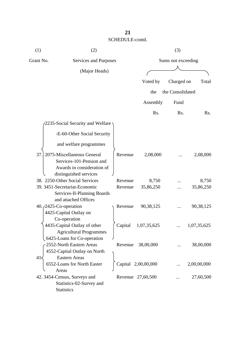| (1)                             | (2)                                                      |                    |                     | (3)                |                    |  |  |
|---------------------------------|----------------------------------------------------------|--------------------|---------------------|--------------------|--------------------|--|--|
| Grant No.                       | Services and Purposes                                    |                    |                     | Sums not exceeding |                    |  |  |
|                                 | (Major Heads)                                            |                    |                     |                    |                    |  |  |
|                                 |                                                          |                    | Voted by            | Charged on         | Total              |  |  |
|                                 |                                                          |                    | the                 | the Consolidated   |                    |  |  |
|                                 |                                                          |                    | Assembly            | Fund               |                    |  |  |
|                                 |                                                          |                    | Rs.                 | Rs.                | Rs.                |  |  |
|                                 | 2235-Social Security and Welfare                         |                    |                     |                    |                    |  |  |
|                                 |                                                          |                    |                     |                    |                    |  |  |
|                                 | -E-60-Other Social Security                              |                    |                     |                    |                    |  |  |
|                                 | and welfare programmes                                   |                    |                     |                    |                    |  |  |
| 37.                             | 2075-Miscellaneous General                               | Revenue            | 2,08,000            |                    | 2,08,000           |  |  |
|                                 | Services-101-Pension and                                 |                    |                     |                    |                    |  |  |
|                                 | Awards in consideration of                               |                    |                     |                    |                    |  |  |
|                                 | distinguished services<br>38. 2250-Other Social Services |                    |                     |                    |                    |  |  |
|                                 | 39. 3451-Secretariat-Economic                            | Revenue<br>Revenue | 8,750<br>35,86,250  |                    | 8,750<br>35,86,250 |  |  |
|                                 | Services-II-Planning Boards                              |                    |                     |                    |                    |  |  |
|                                 | and attached Offices                                     |                    |                     |                    |                    |  |  |
| 40. <i>(2425-Co-operation</i> ) |                                                          | Revenue            | 90,38,125           |                    | 90, 38, 125        |  |  |
|                                 | 4425-Capital Outlay on                                   |                    |                     |                    |                    |  |  |
|                                 | Co-operation                                             |                    |                     |                    |                    |  |  |
|                                 | 4435-Capital Outlay of other                             | Capital            | 1,07,35,625         |                    | 1,07,35,625        |  |  |
|                                 | <b>Agricultural Programmes</b>                           |                    |                     |                    |                    |  |  |
|                                 | 6425-Loans for Co-operation                              |                    |                     |                    |                    |  |  |
|                                 | 2552-North Eastern Areas                                 | Revenue            | 38,00,000           |                    | 38,00,000          |  |  |
|                                 | 4552-Capital Outlay on North                             |                    |                     |                    |                    |  |  |
| $41\leq$                        | <b>Eastern Areas</b>                                     |                    |                     |                    |                    |  |  |
|                                 | 6552-Loans for North Easter                              |                    | Capital 2,00,00,000 |                    | 2,00,00,000        |  |  |
|                                 | Areas                                                    |                    |                     |                    |                    |  |  |
|                                 | 42. 3454-Census, Surveys and                             |                    | Revenue 27,60,500   |                    | 27,60,500          |  |  |
|                                 | Statistics-02-Survey and                                 |                    |                     |                    |                    |  |  |
|                                 | <b>Statistics</b>                                        |                    |                     |                    |                    |  |  |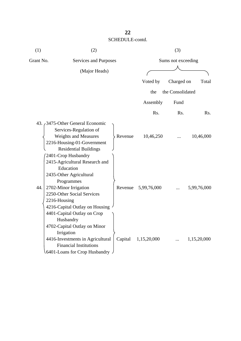| (1)       | (2)                                                                                                                                                                                                                          |         |             | (3)                |                  |
|-----------|------------------------------------------------------------------------------------------------------------------------------------------------------------------------------------------------------------------------------|---------|-------------|--------------------|------------------|
| Grant No. | Services and Purposes                                                                                                                                                                                                        |         |             | Sums not exceeding |                  |
|           | (Major Heads)                                                                                                                                                                                                                |         |             |                    |                  |
|           |                                                                                                                                                                                                                              |         | Voted by    | Charged on         | Total            |
|           |                                                                                                                                                                                                                              |         |             |                    |                  |
|           |                                                                                                                                                                                                                              |         | the         | the Consolidated   |                  |
|           |                                                                                                                                                                                                                              |         | Assembly    | Fund               |                  |
|           |                                                                                                                                                                                                                              |         | Rs.         | Rs.                | R <sub>s</sub> . |
|           | 43. 3475-Other General Economic<br>Services-Regulation of<br><b>Weights and Measures</b><br>2216-Housing-01-Government<br><b>Residential Buildings</b><br>2401-Crop Husbandry                                                | Revenue | 10,46,250   |                    | 10,46,000        |
| 44.       | 2415-Agricultural Research and<br>Education<br>2435-Other Agricultural<br>Programmes<br>2702-Minor Irrigation<br>2250-Other Social Services<br>2216-Housing<br>4216-Capital Outlay on Housing<br>4401-Capital Outlay on Crop | Revenue | 5,99,76,000 |                    | 5,99,76,000      |
|           | Husbandry<br>4702-Capital Outlay on Minor<br>Irrigation<br>4416-Investments in Agricultural<br><b>Financial Institutions</b><br>6401-Loans for Crop Husbandry                                                                | Capital | 1,15,20,000 |                    | 1,15,20,000      |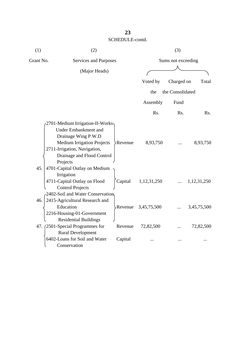| (1)       | (2)                                                                                                                                                                                                                                              |                       | (3)                |             |  |  |
|-----------|--------------------------------------------------------------------------------------------------------------------------------------------------------------------------------------------------------------------------------------------------|-----------------------|--------------------|-------------|--|--|
| Grant No. | Services and Purposes                                                                                                                                                                                                                            |                       | Sums not exceeding |             |  |  |
|           | (Major Heads)                                                                                                                                                                                                                                    |                       |                    |             |  |  |
|           |                                                                                                                                                                                                                                                  | Voted by              | Charged on         | Total       |  |  |
|           |                                                                                                                                                                                                                                                  | the                   | the Consolidated   |             |  |  |
|           |                                                                                                                                                                                                                                                  |                       |                    |             |  |  |
|           |                                                                                                                                                                                                                                                  | Assembly              | Fund               |             |  |  |
|           |                                                                                                                                                                                                                                                  | Rs.                   | Rs.                | Rs.         |  |  |
| 45.       | 2701-Medium Irrigation-II-Works<br><b>Under Embankment and</b><br>Drainage Wing P.W.D<br><b>Medium Irrigation Projects</b><br>Revenue<br>2711-Irrigation, Navigation,<br>Drainage and Flood Control<br>Projects<br>4701-Capital Outlay on Medium | 8,93,750              |                    | 8,93,750    |  |  |
|           | Irrigation<br>4711-Capital Outlay on Flood<br>Capital<br><b>Control Projects</b>                                                                                                                                                                 | 1,12,31,250           |                    | 1,12,31,250 |  |  |
| 46.       | 2402-Soil and Water Conservation<br>2415-Agricultural Research and<br>Education<br>2216-Housing-01-Government<br><b>Residential Buildings</b>                                                                                                    | Revenue $3,45,75,500$ |                    | 3,45,75,500 |  |  |
|           | 47. (2501-Special Programmes for<br>Revenue                                                                                                                                                                                                      | 72,82,500             | .                  | 72,82,500   |  |  |
|           | <b>Rural Development</b><br>6402-Loans for Soil and Water<br>Capital<br>Conservation                                                                                                                                                             |                       |                    |             |  |  |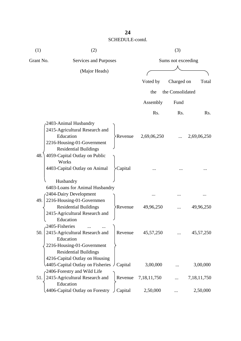| (1)       | (2)                                                                                                                                |                       |                | (3)                |                |  |  |
|-----------|------------------------------------------------------------------------------------------------------------------------------------|-----------------------|----------------|--------------------|----------------|--|--|
| Grant No. |                                                                                                                                    | Services and Purposes |                | Sums not exceeding |                |  |  |
|           | (Major Heads)                                                                                                                      |                       |                |                    |                |  |  |
|           |                                                                                                                                    |                       | Voted by       | Charged on         | Total          |  |  |
|           |                                                                                                                                    |                       | the            | the Consolidated   |                |  |  |
|           |                                                                                                                                    |                       | Assembly       | Fund               |                |  |  |
|           |                                                                                                                                    |                       | Rs.            | Rs.                | Rs.            |  |  |
|           | 2403-Animal Husbandry<br>2415-Agricultural Research and<br>Education<br>2216-Housing-01-Government<br><b>Residential Buildings</b> | Revenue               | 2,69,06,250    |                    | 2,69,06,250    |  |  |
| 48.       | 4059-Capital Outlay on Public<br>Works<br>4403-Capital Outlay on Animal                                                            | Capital               |                |                    |                |  |  |
| 49.       | Husbandry<br>6403-Loans for Animal Husbandry<br>2404-Dairy Development<br>2216-Housing-01-Governmen                                |                       |                |                    |                |  |  |
|           | <b>Residential Buildings</b><br>2415-Agricultural Research and<br>Education                                                        | <b>Revenue</b>        | 49,96,250      |                    | 49,96,250      |  |  |
| 50.       | 2405-Fisheries<br>2415-Agricultural Research and<br>Education                                                                      | Revenue               | 45,57,250      |                    | 45, 57, 250    |  |  |
|           | 2216-Housing-01-Government<br><b>Residential Buildings</b><br>4216-Capital Outlay on Housing                                       |                       |                |                    |                |  |  |
|           | $\triangle$ 4405-Capital Outlay on Fisheries $\angle$ Capital<br>2406-Forestry and Wild Life                                       |                       | 3,00,000       |                    | 3,00,000       |  |  |
| 51.       | 2415-Agricultural Research and<br>Education                                                                                        | Revenue               | 7, 18, 11, 750 |                    | 7, 18, 11, 750 |  |  |
|           | 4406-Capital Outlay on Forestry                                                                                                    | Capital               | 2,50,000       |                    | 2,50,000       |  |  |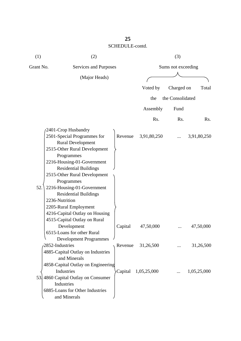| (1) | (2)                                                                                                                                                                                                                                                                                                                                                                                 |         |                     | (3)              |             |  |
|-----|-------------------------------------------------------------------------------------------------------------------------------------------------------------------------------------------------------------------------------------------------------------------------------------------------------------------------------------------------------------------------------------|---------|---------------------|------------------|-------------|--|
|     | Grant No.<br>Services and Purposes                                                                                                                                                                                                                                                                                                                                                  |         | Sums not exceeding  |                  |             |  |
|     | (Major Heads)                                                                                                                                                                                                                                                                                                                                                                       |         |                     |                  |             |  |
|     |                                                                                                                                                                                                                                                                                                                                                                                     |         | Voted by            | Charged on       | Total       |  |
|     |                                                                                                                                                                                                                                                                                                                                                                                     |         | the                 | the Consolidated |             |  |
|     |                                                                                                                                                                                                                                                                                                                                                                                     |         | Assembly            | Fund             |             |  |
|     |                                                                                                                                                                                                                                                                                                                                                                                     |         | Rs.                 | Rs.              | Rs.         |  |
| 52. | 2401-Crop Husbandry<br>2501-Special Programmes for<br><b>Rural Development</b><br>2515-Other Rural Development<br>Programmes<br>2216-Housing-01-Government<br><b>Residential Buildings</b><br>2515-Other Rural Development<br>Programmes<br>2216-Housing-01-Government<br><b>Residential Buildings</b><br>2236-Nutrition<br>2205-Rural Employment<br>4216-Capital Outlay on Housing | Revenue | 3,91,80,250         |                  | 3,91,80,250 |  |
|     | 4515-Capital Outlay on Rural<br>Development                                                                                                                                                                                                                                                                                                                                         | Capital | 47,50,000           |                  | 47,50,000   |  |
|     | 6515-Loans for other Rural<br><b>Development Programmes</b><br>2852-Industries<br>4885-Capital Outlay on Industries<br>and Minerals                                                                                                                                                                                                                                                 | Revenue | 31,26,500           |                  | 31,26,500   |  |
| 53. | 4858-Capital Outlay on Engineering<br>Industries<br>4860 Capital Outlay on Consumer<br>Industries<br>6885-Loans for Other Industries<br>and Minerals                                                                                                                                                                                                                                |         | Capital 1,05,25,000 |                  | 1,05,25,000 |  |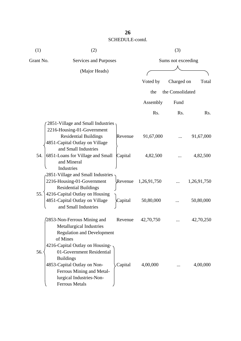| (1)       | (2)                                                                                                                                                                                               |         |                    | (3)              |             |  |
|-----------|---------------------------------------------------------------------------------------------------------------------------------------------------------------------------------------------------|---------|--------------------|------------------|-------------|--|
| Grant No. | Services and Purposes                                                                                                                                                                             |         | Sums not exceeding |                  |             |  |
|           | (Major Heads)                                                                                                                                                                                     |         |                    |                  |             |  |
|           |                                                                                                                                                                                                   |         | Voted by           | Charged on       | Total       |  |
|           |                                                                                                                                                                                                   |         | the                | the Consolidated |             |  |
|           |                                                                                                                                                                                                   |         | Assembly           | Fund             |             |  |
|           |                                                                                                                                                                                                   |         | R <sub>s</sub> .   | R <sub>s</sub> . | Rs.         |  |
|           | 2851-Village and Small Industries<br>2216-Housing-01-Government                                                                                                                                   |         |                    |                  |             |  |
|           | <b>Residential Buildings</b><br>4851-Capital Outlay on Village<br>and Small Industries                                                                                                            | Revenue | 91,67,000          |                  | 91,67,000   |  |
| 54.       | 6851-Loans for Village and Small<br>and Mineral<br>Industries                                                                                                                                     | Capital | 4,82,500           |                  | 4,82,500    |  |
|           | 2851-Village and Small Industries<br>2216-Housing-01-Government<br><b>Residential Buildings</b>                                                                                                   | Revenue | 1,26,91,750        |                  | 1,26,91,750 |  |
| 55.       | 4216-Capital Outlay on Housing<br>4851-Capital Outlay on Village<br>and Small Industries                                                                                                          | Capital | 50,80,000          |                  | 50,80,000   |  |
|           | 2853-Non-Ferrous Mining and<br><b>Metallurgical Industries</b><br><b>Regulation and Development</b><br>of Mines                                                                                   | Revenue | 42,70,750          |                  | 42,70,250   |  |
| 56.       | 4216-Capital Outlay on Housing-<br>01-Government Residential<br><b>Buildings</b><br>4853-Capital Outlay on Non-<br>Ferrous Mining and Metal-<br>lurgical Industries-Non-<br><b>Ferrous Metals</b> | Capital | 4,00,000           |                  | 4,00,000    |  |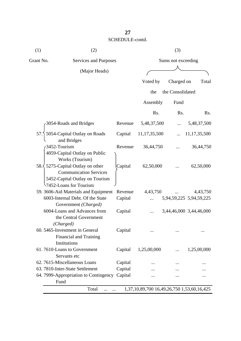| (1)       | (2)                                                                                                                           |         |                                            | (3)              |                         |  |
|-----------|-------------------------------------------------------------------------------------------------------------------------------|---------|--------------------------------------------|------------------|-------------------------|--|
| Grant No. | Services and Purposes                                                                                                         |         | Sums not exceeding                         |                  |                         |  |
|           | (Major Heads)                                                                                                                 |         |                                            |                  |                         |  |
|           |                                                                                                                               |         | Voted by                                   | Charged on       | Total                   |  |
|           |                                                                                                                               |         | the                                        | the Consolidated |                         |  |
|           |                                                                                                                               |         | Assembly                                   | Fund             |                         |  |
|           |                                                                                                                               |         | Rs.                                        | Rs.              | Rs.                     |  |
|           | 3054-Roads and Bridges                                                                                                        | Revenue | 5,48,37,500                                |                  | 5,48,37,500             |  |
| 57.       | 5054-Capital Outlay on Roads<br>and Bridges                                                                                   | Capital | 11, 17, 35, 500                            |                  | 11, 17, 35, 500         |  |
|           | 3452-Tourism<br>4059-Capital Outlay on Public<br>Works (Tourism)                                                              | Revenue | 36,44,750                                  |                  | 36,44,750               |  |
|           | 58. 5275-Capital Outlay on other<br><b>Communication Services</b><br>5452-Capital Outlay on Tourism<br>7452-Loans for Tourism | Capital | 62,50,000                                  |                  | 62,50,000               |  |
|           | 59. 3606-Aid Materials and Equipment                                                                                          | Revenue | 4,43,750                                   |                  | 4,43,750                |  |
|           | 6003-Internal Debt. Of the State<br>Government (Charged)                                                                      | Capital |                                            |                  | 5,94,59,225 5,94,59,225 |  |
|           | 6004-Loans and Advances from<br>the Central Government<br>(Charged)                                                           | Capital |                                            |                  | 3,44,46,000 3,44,46,000 |  |
|           | 60. 5465-Investment in General<br>Financial and Training<br>Institutions                                                      | Capital |                                            | .                |                         |  |
|           | 61.7610-Loans to Government<br>Servants etc                                                                                   | Capital | 1,25,00,000                                |                  | 1,25,00,000             |  |
|           | 62. 7615-Miscellaneous Loans                                                                                                  | Capital |                                            |                  |                         |  |
|           | 63. 7810-Inter-State Settlement                                                                                               | Capital |                                            |                  |                         |  |
|           | 64. 7999-Appropriation to Contingency<br>Fund                                                                                 | Capital |                                            |                  |                         |  |
|           | Total                                                                                                                         |         | 1,37,10,89,700 16,49,26,750 1,53,60,16,425 |                  |                         |  |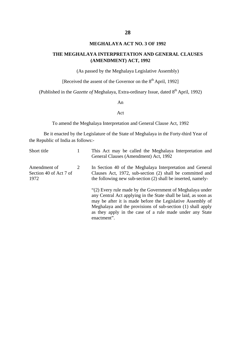#### **MEGHALAYA ACT NO. 3 OF 1992**

#### **THE MEGHALAYA INTERPRETATION AND GENERAL CLAUSES (AMENDMENT) ACT, 1992**

(As passed by the Meghalaya Legislative Assembly)

[Received the assent of the Governor on the  $8<sup>th</sup>$  April, 1992]

(Published in the *Gazette of* Meghalaya, Extra-ordinary Issue, dated 8<sup>th</sup> April, 1992)

An

#### Act

To amend the Meghalaya Interpretation and General Clause Act, 1992

Be it enacted by the Legislature of the State of Meghalaya in the Forty-third Year of the Republic of India as follows:-

| Short title                                    |   | This Act may be called the Meghalaya Interpretation and<br>General Clauses (Amendment) Act, 1992                                                                                                                                                                                                                                     |
|------------------------------------------------|---|--------------------------------------------------------------------------------------------------------------------------------------------------------------------------------------------------------------------------------------------------------------------------------------------------------------------------------------|
| Amendment of<br>Section 40 of Act 7 of<br>1972 | 2 | In Section 40 of the Meghalaya Interpretation and General<br>Clauses Act, 1972, sub-section (2) shall be committed and<br>the following new sub-section (2) shall be inserted, namely-                                                                                                                                               |
|                                                |   | "(2) Every rule made by the Government of Meghalaya under<br>any Central Act applying in the State shall be laid, as soon as<br>may be after it is made before the Legislative Assembly of<br>Meghalaya and the provisions of sub-section (1) shall apply<br>as they apply in the case of a rule made under any State<br>enactment". |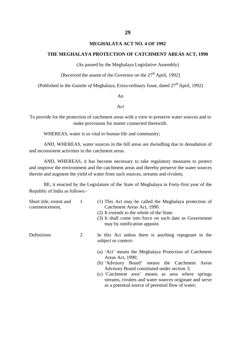#### **MEGHALAYA ACT NO. 4 OF 1992**

#### **THE MEGHALAYA PROTECTION OF CATCHMENT AREAS ACT, 1990**

(As passed by the Meghalaya Legislative Assembly)

[Received the assent of the Governor on the  $27<sup>th</sup>$  April, 1992]

(Published in the *Gazette of* Meghalaya, Extra-ordinary Issue, dated 27<sup>th</sup> April, 1992)

An

#### Act

To provide for the protection of catchment areas with a view to preserve water sources and to make provisions for matter connected therewith.

WHEREAS, water is so vital to human life and community;

AND, WHEREAS, water sources in the hill areas are dwindling due to denudation of and inconsistent activities in the catchment areas.

AND, WHEREAS, it has become necessary to take regulatory measures to protect and improve the environment and the catchment areas and thereby preserve the water sources therein and augment the yield of water from such sources, streams and rivulets;

BE, it enacted by the Legislature of the State of Meghalaya in Forty-first year of the Republic of India as follows:-

| Short title, extent and<br>commencement, | 1 | (1) This Act may be called the Meghalaya protection of<br>Catchment Areas Act, 1990.<br>(2) It extends to the whole of the State.<br>(3) It shall come into force on such date as Government<br>may by notification appoint.                                                                                                                  |
|------------------------------------------|---|-----------------------------------------------------------------------------------------------------------------------------------------------------------------------------------------------------------------------------------------------------------------------------------------------------------------------------------------------|
| Definitions                              | 2 | In this Act unless there is anything repugnant in the<br>subject or context-                                                                                                                                                                                                                                                                  |
|                                          |   | (a) 'Act' means the Meghalaya Protection of Catchment<br>Areas Act, 1990;<br>(b) 'Advisory Board' means the Catchment Areas<br>Advisory Board constituted under section 3;<br>(c) Catchment area' means as area where springs<br>streams, rivulets and water sources originate and serve<br>as a potential source of perential flow of water; |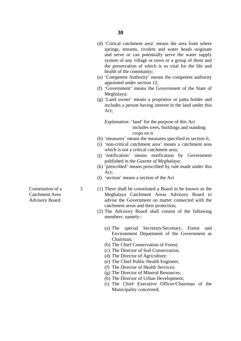- (d) 'Critical catchment area' means the area from where springs, streams, rivulets and water heads originate and serve or can potentially serve the water supply system of any village or town or a group of them and the preservation of which is so vital for the life and health of the community;
- (e) 'Competent Authority' means the competent authority appointed under section 12;
- (f) 'Government' means the Government of the State of Meghalaya;
- (g) 'Land owner' means a proprietor or patta holder and includes a person having interest in the land under this Act;

*Explanation:* 'land' for the purpose of this Act includes trees, buildings and standing crops on it

- (h) 'measures' means the measures specified in section 6;
- (i) 'non-critical catchment area' means a catchment area which is not a critical catchment area:
- (j) 'notification' means notification by Government published in the *Gazette of Meghalaya*;
- (k) 'prescribed' means prescribed by rule made under this Act;
- (l) 'section' means a section of the Act
- Constitution of a 3 (1) There shall be constituted a Board to be known as the Catchment Area Meghalaya Catchment Areas Advisory Board to Advisory Board. **advise the Government on matter connected with the** catchment areas and their protection;
	- (2) The Advisory Board shall consist of the following members: namely:-
		- (a) The special Secretary/Secretary, Forest and Environment Department of the Government as Chairman;
		- (b) The Chief Conservation of Forest;
		- (c) The Director of Soil Conservation;
		- (d) The Director of Agriculture;
		- (e) The Chief Public Health Engineer;
		- (f) The Director of Health Services;
		- (g) The Director of Mineral Resources;
		- (h) The Director of Urban Development;
		- (i) The Chief Executive Officer/Chairman of the Municipality concerned;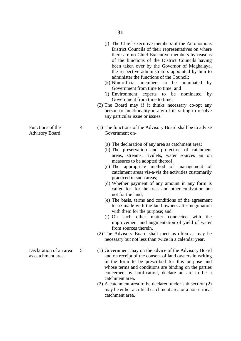- (j) The Chief Executive members of the Autonomous District Councils of their representatives on where there are no Chief Executive members by reasons of the functions of the District Councils having been taken over by the Governor of Meghalaya, the respective administrators appointed by him to administer the functions of the Council;
- (k) Non-official members to be nominated by Government from time to time; and
- (l) Environment experts to be nominated by Government from time to time.
- (3) The Board may if it thinks necessary co-opt any person or functionality in any of its sitting to resolve any particular issue or issues.
- Functions of the 4 (1) The functions of the Advisory Board shall be to advise Advisory Board Government on-
	- (a) The declaration of any area as catchment area;
	- (b) The preservation and protection of catchment areas, streams, rivulets, water sources an on measures to be adopted thereof;
	- (c) The appropriate method of management of catchment areas vis-a-vis the activities customarily practiced in such areas;
	- (d) Whether payment of any amount in any form is called for, for the tress and other cultivation but not for the land;
	- (e) The basis, terms and conditions of the agreement to be made with the land owners after negotiation with them for the purpose; and
	- (f) On such other matter connected with the improvement and augmentation of yield of water from sources therein.
	- (2) The Advisory Board shall meet as often as may be necessary but not less than twice in a calendar year.
- Declaration of an area 5 (1) Government may on the advice of the Advisory Board as catchment area. and on receipt of the consent of land owners in writing in the form to be prescribed for this purpose and whose terms and conditions are binding on the parties concerned by notification, declare an are to be a catchment area.
	- (2) A catchment area to be declared under sub-section (2) may be either a critical catchment area or a non-critical catchment area.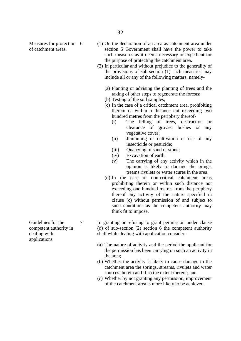- Measures for protection 6 (1) On the declaration of an area as catchment area under of catchment areas. section 5 Government shall have the power to take such measures as it deems necessary or expedient for the purpose of protecting the catchment area.
	- (2) In particular and without prejudice to the generality of the provisions of sub-section (1) such measures may include all or any of the following matters, namely-
		- (a) Planting or advising the planting of trees and the taking of other steps to regenerate the forests;
		- (b) Testing of the soil samples;
		- (c) In the case of a critical catchment area, prohibiting therein or within a distance not exceeding two hundred metres from the periphery thereof-
			- (i) The felling of trees, destruction or clearance of groves, bushes or any vegetative cover;
			- (ii) Jhumming or cultivation or use of any insecticide or pesticide;
			- (iii) Quarrying of sand or stone;
			- (iv) Excavation of earth;
			- (v) The carrying of any activity which in the opinion is likely to damage the prings, treams rivulets or water scures in the area.
		- (d) In the case of non-critical catchment areas prohibiting therein or within such distance not exceeding one hundred metres from the periphery thereof any activity of the nature specified in clause (c) without permission of and subject to such conditions as the competent authority may think fit to impose.
- Guidelines for the 7 In granting or refusing to grant permission under clause competent authority in (d) of sub-section (2) section 6 the competent authority dealing with shall while dealing with application consider:-
	- (a) The nature of activity and the period the applicant for the permission has been carrying on such an activity in the area;
	- (b) Whether the activity is likely to cause damage to the catchment area the springs, streams, rivulets and water sources therein and if so the extent thereof; and
	- (c) Whether by not granting any permission, improvement of the catchment area is more likely to be achieved.

applications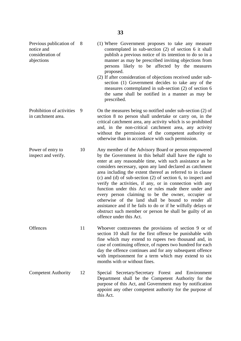Previous publication of

- notice and contemplated in sub-section (2) of section 6 it shall consideration of publish a previous notice of its intention to do so in a abjections manner as may be prescribed inviting objections from persons likely to be affected by the measures proposed. 8 (1) Where Government proposes to take any measure
	- (2) If after consideration of objections received under subsection (1) Government decides to take any of the measures contemplated in sub-section (2) of section 6 the same shall be notified in a manner as may be prescribed.
- Prohibition of activities 9 On the measures being so notified under sub-section (2) of in catchment area. section 8 no person shall undertake or carry on, in the critical catchment area, any activity which is so prohibited and, in the non-critical catchment area, any activity without the permission of the competent authority or otherwise than in accordance with such permission.
- Power of entry to 10 Any member of the Advisory Board or person empowered inspect and verify.<br>by the Government in this behalf shall have the right to by the Government in this behalf shall have the right to enter at any reasonable time, with such assistance as he considers necessary, upon any land declared as catchment area including the extent thereof as referred to in clause (c) and (d) of sub-section (2) of section 6, to inspect and verify the activities, if any, or in connection with any function under this Act or rules made there under and every person claiming to be the owner, occupier or otherwise of the land shall be bound to render all assistance and if he fails to do or if he wilfully delays or obstruct such member or person he shall be guilty of an offence under this Act.
- Offences 11 Whoever contravenes the provisions of section 9 or of section 10 shall for the first offence be punishable with fine which may extend to rupees two thousand and, in case of continuing offence, of rupees two hundred for each day the offence continues and for any subsequent offence with imprisonment for a term which may extend to six months with or without fines.
- Competent Authority 12 Special Secretary/Secretary Forest and Environment Department shall be the Competent Authority for the purpose of this Act, and Government may by notification appoint any other competent authority for the purpose of this Act.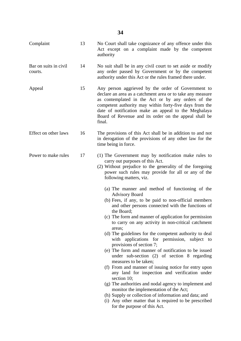| 13 | No Court shall take cognizance of any offence under this<br>Act except on a complaint made by the competent<br>authority                                                                                                                                                                                                                                                                                                                                                                                                                                                                                                                                                                                                                                                                                                                                                                                                                                                           |
|----|------------------------------------------------------------------------------------------------------------------------------------------------------------------------------------------------------------------------------------------------------------------------------------------------------------------------------------------------------------------------------------------------------------------------------------------------------------------------------------------------------------------------------------------------------------------------------------------------------------------------------------------------------------------------------------------------------------------------------------------------------------------------------------------------------------------------------------------------------------------------------------------------------------------------------------------------------------------------------------|
| 14 | No suit shall be in any civil court to set aside or modify<br>any order passed by Government or by the competent<br>authority under this Act or the rules framed there under.                                                                                                                                                                                                                                                                                                                                                                                                                                                                                                                                                                                                                                                                                                                                                                                                      |
| 15 | Any person aggrieved by the order of Government to<br>declare an area as a catchment area or to take any measure<br>as contemplated in the Act or by any orders of the<br>competent authority may within forty-five days from the<br>date of notification make an appeal to the Meghalaya<br>Board of Revenue and its order on the appeal shall be<br>final.                                                                                                                                                                                                                                                                                                                                                                                                                                                                                                                                                                                                                       |
| 16 | The provisions of this Act shall be in addition to and not<br>in derogation of the provisions of any other law for the<br>time being in force.                                                                                                                                                                                                                                                                                                                                                                                                                                                                                                                                                                                                                                                                                                                                                                                                                                     |
| 17 | (1) The Government may by notification make rules to<br>carry out purposes of this Act.<br>(2) Without prejudice to the generality of the foregoing<br>power such rules may provide for all or any of the<br>following matters, viz.                                                                                                                                                                                                                                                                                                                                                                                                                                                                                                                                                                                                                                                                                                                                               |
|    | (a) The manner and method of functioning of the<br><b>Advisory Board</b><br>(b) Fees, if any, to be paid to non-official members<br>and other persons connected with the functions of<br>the Board:<br>(c) The form and manner of application for permission<br>to carry on any activity in non-critical catchment<br>areas;<br>(d) The guidelines for the competent authority to deal<br>with applications for permission, subject to<br>provisions of section 7;<br>(e) The form and manner of notification to be issued<br>under sub-section (2) of section 8 regarding<br>measures to be taken;<br>(f) From and manner of issuing notice for entry upon<br>any land for inspection and verification under<br>section 10;<br>(g) The authorities and nodal agency to implement and<br>monitor the implementation of the Act;<br>(h) Supply or collection of information and data; and<br>(i) Any other matter that is required to be prescribed<br>for the purpose of this Act. |
|    |                                                                                                                                                                                                                                                                                                                                                                                                                                                                                                                                                                                                                                                                                                                                                                                                                                                                                                                                                                                    |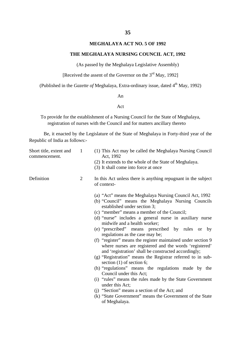## **MEGHALAYA ACT NO. 5 OF 1992**

### **THE MEGHALAYA NURSING COUNCIL ACT, 1992**

(As passed by the Meghalaya Legislative Assembly)

[Received the assent of the Governor on the  $3<sup>rd</sup>$  May, 1992]

(Published in the *Gazette of* Meghalaya, Extra-ordinary issue, dated 4<sup>th</sup> May, 1992)

### An

### Act

To provide for the establishment of a Nursing Council for the State of Meghalaya, registration of nurses with the Council and for matters ancillary thereto

Be, it enacted by the Legislature of the State of Meghalaya in Forty-third year of the Republic of India as follows:-

| $\mathbf{1}$<br>(1) This Act may be called the Meghalaya Nursing Council<br>Short title, extent and<br>Act, 1992<br>commencement. |                |                                                                                                                                                                                              |  |  |  |
|-----------------------------------------------------------------------------------------------------------------------------------|----------------|----------------------------------------------------------------------------------------------------------------------------------------------------------------------------------------------|--|--|--|
|                                                                                                                                   |                | (2) It extends to the whole of the State of Meghalaya.<br>(3) It shall come into force at once                                                                                               |  |  |  |
| Definition                                                                                                                        | $\overline{2}$ | In this Act unless there is anything repugnant in the subject<br>of context-                                                                                                                 |  |  |  |
|                                                                                                                                   |                | (a) "Act" means the Meghalaya Nursing Council Act, 1992<br>(b) "Council" means the Meghalaya Nursing Councils<br>established under section 3;<br>(c) "member" means a member of the Council; |  |  |  |
|                                                                                                                                   |                | (d) "nurse" includes a general nurse in auxiliary nurse<br>midwife and a health worker;                                                                                                      |  |  |  |
|                                                                                                                                   |                | (e) "prescribed" means prescribed by rules or by<br>regulations as the case may be;                                                                                                          |  |  |  |
|                                                                                                                                   |                | (f) "register" means the register maintained under section 9<br>where nurses are registered and the words 'registered'<br>and 'registration' shall be constructed accordingly;               |  |  |  |
|                                                                                                                                   |                | (g) "Registration" means the Registrar referred to in sub-<br>section $(1)$ of section 6;                                                                                                    |  |  |  |
|                                                                                                                                   |                | (h) "regulations" means the regulations made by the<br>Council under this Act;                                                                                                               |  |  |  |
|                                                                                                                                   |                | (i) "rules" means the rules made by the State Government<br>under this Act;                                                                                                                  |  |  |  |
|                                                                                                                                   |                | (i) "Section" means a section of the Act; and                                                                                                                                                |  |  |  |
|                                                                                                                                   |                | (k) "State Government" means the Government of the State<br>of Meghalaya.                                                                                                                    |  |  |  |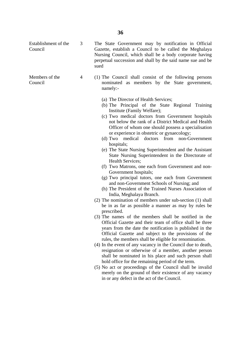Council Gazette, establish a Council to be called the Meghalaya Nursing Council, which shall be a body corporate having perpetual succession and shall by the said name sue and be sued Members of the 4 (1) The Council shall consist of the following persons Council nominated as members by the State government, namely:- (a) The Director of Health Services; (b) The Principal of the State Regional Training Institute (Family Welfare); or experience in obstetric or gynaecology; hospitals; Health Services; Government hospitals; and non-Government Schools of Nursing; and India, Meghalaya Branch. (2) The nomination of members under sub-section (1) shall prescribed. (3) The names of the members shall be notified in the rules, the members shall be eligible for renomination. hold office for the remaining period of the term. in or any defect in the act of the Council.

Establishment of the

3 The State Government may by notification in Official

- (c) Two medical doctors from Government hospitals not below the rank of a District Medical and Health Officer of whom one should possess a specialisation
- (d) Two medical doctors from non-Government
- (e) The State Nursing Superintendent and the Assistant State Nursing Superintendent in the Directorate of
- (f) Two Matrons, one each from Government and non-
- (g) Two principal tutors, one each from Government
- (h) The President of the Trained Nurses Association of
- be in as far as possible a manner as may by rules be
- Official Gazette and their team of office shall be three years from the date the notification is published in the Official Gazette and subject to the provisions of the
- (4) In the event of any vacancy in the Council due to death, resignation or otherwise of a member, another person shall be nominated in his place and such person shall
- (5) No act or proceedings of the Council shall be invalid merely on the ground of their existence of any vacancy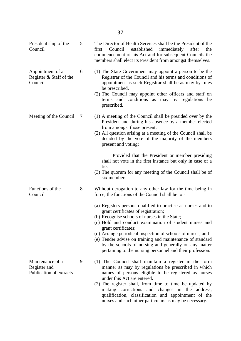| President ship of the<br>Council                            | 5 | The Director of Health Services shall be the President of the<br>established<br>immediately<br>first<br>Council<br>after<br>the<br>commencement of his Act and for subsequent Councils the<br>members shall elect its President from amongst themselves.                                                                                                                                                                                                                                |
|-------------------------------------------------------------|---|-----------------------------------------------------------------------------------------------------------------------------------------------------------------------------------------------------------------------------------------------------------------------------------------------------------------------------------------------------------------------------------------------------------------------------------------------------------------------------------------|
| Appointment of a<br>Register & Staff of the<br>Council      | 6 | (1) The State Government may appoint a person to be the<br>Registrar of the Council and his terms and conditions of<br>appointment as such Registrar shall be as may by rules<br>be prescribed.<br>(2) The Council may appoint other officers and staff on<br>terms and conditions as may by regulations<br>be<br>prescribed.                                                                                                                                                           |
| Meeting of the Council                                      | 7 | (1) A meeting of the Council shall be presided over by the<br>President and during his absence by a member elected<br>from amongst those present.<br>(2) All question arising at a meeting of the Council shall be<br>decided by the vote of the majority of the members<br>present and voting;                                                                                                                                                                                         |
|                                                             |   | Provided that the President or member presiding<br>shall not vote in the first instance but only in case of a<br>tie.<br>(3) The quorum for any meeting of the Council shall be of<br>six members.                                                                                                                                                                                                                                                                                      |
| Functions of the<br>Council                                 | 8 | Without derogation to any other law for the time being in<br>force, the functions of the Council shall be to:-                                                                                                                                                                                                                                                                                                                                                                          |
|                                                             |   | (a) Registers persons qualified to practise as nurses and to<br>grant certificates of registration;<br>(b) Recognise schools of nurses in the State;<br>(c) Hold and conduct examination of student nurses and<br>grant certificates;<br>(d) Arrange periodical inspection of schools of nurses; and<br>(e) Tender advise on training and maintenance of standard<br>by the schools of nursing and generally on any matter<br>pertaining to the nursing personnel and their profession. |
| Maintenance of a<br>Register and<br>Publication of extracts | 9 | (1) The Council shall maintain a register in the form<br>manner as may by regulations be prescribed in which<br>names of persons eligible to be registered as nurses<br>under this Act are entered.<br>(2) The register shall, from time to time be updated by<br>making corrections and changes in the address,<br>qualification, classification and appointment of the<br>nurses and such other particulars as may be necessary.                                                      |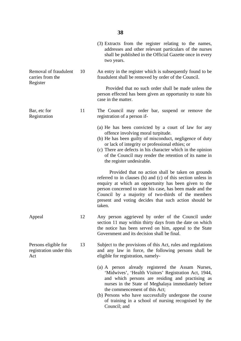|                                                        |    | (3) Extracts from the register relating to the names,<br>addresses and other relevant particulars of the nurses<br>shall be published in the Official Gazette once in every<br>two years.                                                                                                                                                                                                |
|--------------------------------------------------------|----|------------------------------------------------------------------------------------------------------------------------------------------------------------------------------------------------------------------------------------------------------------------------------------------------------------------------------------------------------------------------------------------|
| Removal of fraudulent<br>carries from the<br>Register  | 10 | An entry in the register which is subsequently found to be<br>fraudulent shall be removed by order of the Council.                                                                                                                                                                                                                                                                       |
|                                                        |    | Provided that no such order shall be made unless the<br>person effected has been given an opportunity to state his<br>case in the matter.                                                                                                                                                                                                                                                |
| Bar, etc for<br>Registration                           | 11 | The Council may order bar, suspend or remove the<br>registration of a person if-                                                                                                                                                                                                                                                                                                         |
|                                                        |    | (a) He has been convicted by a court of law for any<br>offence involving moral turpitude.<br>(b) He has been guilty of misconduct, negligence of duty<br>or lack of integrity or professional ethies; or<br>(c) There are defects in his character which in the opinion<br>of the Council may render the retention of its name in<br>the register undesirable.                           |
|                                                        |    | Provided that no action shall be taken on grounds<br>referred to in clauses (b) and (c) of this section unless in<br>enquiry at which an opportunity has been given to the<br>person concerned to state his case, has been made and the<br>Council by a majority of two-thirds of the members<br>present and voting decides that such action should be<br>taken.                         |
| Appeal                                                 | 12 | Any person aggrieved by order of the Council under<br>section 11 may within thirty days from the date on which<br>the notice has been served on him, appeal to the State<br>Government and its decision shall be final.                                                                                                                                                                  |
| Persons eligible for<br>registration under this<br>Act | 13 | Subject to the provisions of this Act, rules and regulations<br>and any law in force, the following persons shall be<br>eligible for registration, namely-                                                                                                                                                                                                                               |
|                                                        |    | (a) A person already registered the Assam Nurses,<br>'Midwives', 'Health Visitors' Registration Act, 1944,<br>and which persons are residing and practising as<br>nurses in the State of Meghalaya immediately before<br>the commencement of this Act;<br>(b) Persons who have successfully undergone the course<br>of training in a school of nursing recognised by the<br>Council; and |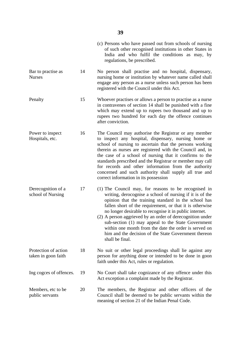|                                             |    | (c) Persons who have passed out from schools of nursing<br>of such other recognised institutions in other States in<br>India and who fulfil the conditions as may, by<br>regulations, be prescribed.                                                                                                                                                                                                                                                                                                                                                   |
|---------------------------------------------|----|--------------------------------------------------------------------------------------------------------------------------------------------------------------------------------------------------------------------------------------------------------------------------------------------------------------------------------------------------------------------------------------------------------------------------------------------------------------------------------------------------------------------------------------------------------|
| Bar to practise as<br><b>Nurses</b>         | 14 | No person shall practise and no hospital, dispensary,<br>nursing home or institution by whatever name called shall<br>engage any person as a nurse unless such person has been<br>registered with the Council under this Act.                                                                                                                                                                                                                                                                                                                          |
| Penalty                                     | 15 | Whoever practises or allows a person to practise as a nurse<br>in contravenes of section 14 shall be punished with a fine<br>which may extend up to rupees two thousand and up to<br>rupees two hundred for each day the offence continues<br>after conviction.                                                                                                                                                                                                                                                                                        |
| Power to inspect<br>Hospitals, etc.         | 16 | The Council may authorise the Registrar or any member<br>to inspect any hospital, dispensary, nursing home or<br>school of nursing to ascertain that the persons working<br>therein as nurses are registered with the Council and, in<br>the case of a school of nursing that it confirms to the<br>standards prescribed and the Registrar or member may call<br>for records and other information from the authority<br>concerned and such authority shall supply all true and<br>correct information in its possession                               |
| Derecognition of a<br>school of Nursing     | 17 | (1) The Council may, for reasons to be recognised in<br>writing, derocognise a school of nursing if it is of the<br>opinion that the training standard in the school has<br>fallen short of the requirement, or that it is otherwise<br>no longer desirable to recognise it in public internet.<br>(2) A person aggrieved by an order of derecognition under<br>sub-section (1) may appeal to the State Government<br>within one month from the date the order is served on<br>him and the decision of the State Government thereon<br>shall be final. |
| Protection of action<br>taken in goon faith | 18 | No suit or other legal proceedings shall lie against any<br>person for anything done or intended to be done in goon<br>faith under this Act, rules or regulation.                                                                                                                                                                                                                                                                                                                                                                                      |
| Ing cogces of offences.                     | 19 | No Court shall take cognizance of any offence under this<br>Act exception a complaint made by the Registrar.                                                                                                                                                                                                                                                                                                                                                                                                                                           |
| Members, etc to be<br>public servants       | 20 | The members, the Registrar and other officers of the<br>Council shall be deemed to be public servants within the<br>meaning of section 21 of the Indian Penal Code.                                                                                                                                                                                                                                                                                                                                                                                    |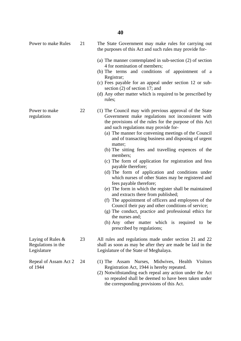- Power to make Rules 21 The State Government may make rules for carrying out the purposes of this Act and such rules may provide for-
	- (a) The manner contemplated in sub-section (2) of section 4 for nomination of members;
	- (b) The terms and conditions of appointment of a Registrar;
	- (c) Fees payable for an appeal under section 12 or sub section (2) of section 17; and
	- (d) Any other matter which is required to be prescribed by rules;
- Power to make 22 (1) The Council may with previous approval of the State regulations Government make regulations not inconsistent with the provisions of the rules for the purpose of this Act and such regulations may provide for-
	- (a) The manner for convening meetings of the Council and of transacting business and disposing of urgent matter;
	- (b) The sitting fees and travelling expences of the members;
	- (c) The form of application for registration and fess payable therefore;
	- (d) The form of application and conditions under which nurses of other States may be registered and fees payable therefore;
	- (e) The form in which the register shall be maintained and extracts there from published;
	- (f) The appointment of officers and employees of the Council their pay and other conditions of service;
	- (g) The conduct, practice and professional ethics for the nurses and;
	- (h) Any other matter which is required to be prescribed by regulations;

Laying of Rules  $\&$  23 All rules and regulations made under section 21 and 22 Regulations in the shall as soon as may be after they are made be laid in the Legislature Legislature of the State of Meghalaya.

- Repeal of Assam Act 2 24 (1) The Assam Nurses, Midwives, Health Visitors of 1944 Registration Act, 1944 is hereby repeated.
	- (2) Notwithstanding each repeal any action under the Act so repealed shall be deemed to have been taken under the corresponding provisions of this Act.
-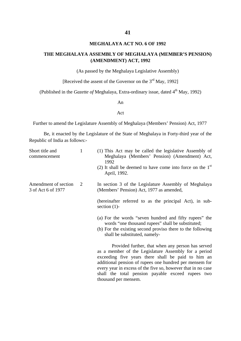## **MEGHALAYA ACT NO. 6 OF 1992**

## **THE MEGHALAYA ASSEMBLY OF MEGHALAYA (MEMBER'S PENSION) (AMENDMENT) ACT, 1992**

(As passed by the Meghalaya Legislative Assembly)

[Received the assent of the Governor on the 3<sup>rd</sup> May, 1992]

(Published in the *Gazette of* Meghalaya, Extra-ordinary issue, dated 4<sup>th</sup> May, 1992)

An

### Act

Further to amend the Legislature Assembly of Meghalaya (Members' Pension) Act, 1977

Be, it enacted by the Legislature of the State of Meghalaya in Forty-third year of the Republic of India as follows:-

| Short title and<br>commencement            | $\mathbf{1}$ | (1) This Act may be called the legislative Assembly of<br>Meghalaya (Members' Pension) (Amendment) Act,<br>1992                                                                                                                                                                                                                                                         |
|--------------------------------------------|--------------|-------------------------------------------------------------------------------------------------------------------------------------------------------------------------------------------------------------------------------------------------------------------------------------------------------------------------------------------------------------------------|
|                                            |              | (2) It shall be deemed to have come into force on the $1st$<br>April, 1992.                                                                                                                                                                                                                                                                                             |
| Amendment of section<br>3 of Act 6 of 1977 | 2            | In section 3 of the Legislature Assembly of Meghalaya<br>(Members' Pension) Act, 1977 as amended,                                                                                                                                                                                                                                                                       |
|                                            |              | (hereinafter referred to as the principal Act), in sub-<br>section $(1)$ -                                                                                                                                                                                                                                                                                              |
|                                            |              | (a) For the words "seven hundred and fifty rupees" the<br>words "one thousand rupees" shall be substituted;<br>(b) For the existing second proviso there to the following<br>shall be substituted, namely-                                                                                                                                                              |
|                                            |              | Provided further, that when any person has served<br>as a member of the Legislature Assembly for a period<br>exceeding five years there shall be paid to him an<br>additional pension of rupees one hundred per mensem for<br>every year in excess of the five so, however that in no case<br>shall the total pension payable exceed rupees two<br>thousand per mensem. |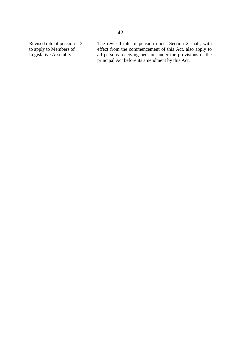Revised rate of pension 3 The revised rate of pension under Section 2 shall, with to apply to Members of effect from the commencement of this Act, also apply to Legislative Assembly all persons receiving pension under the provisions of the principal Act before its amendment by this Act.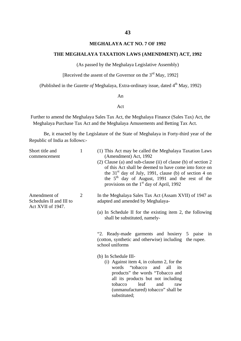## **MEGHALAYA ACT NO. 7 OF 1992**

### **THE MEGHALAYA TAXATION LAWS (AMENDMENT) ACT, 1992**

(As passed by the Meghalaya Legislative Assembly)

[Received the assent of the Governor on the  $3<sup>rd</sup>$  May, 1992]

(Published in the *Gazette of* Meghalaya, Extra-ordinary issue, dated 4<sup>th</sup> May, 1992)

#### An

## Act

Further to amend the Meghalaya Sales Tax Act, the Meghalaya Finance (Sales Tax) Act, the Meghalaya Purchase Tax Act and the Meghalaya Amusements and Betting Tax Act.

Be, it enacted by the Legislature of the State of Meghalaya in Forty-third year of the Republic of India as follows:-

| Short title and<br>commencement                              | $\mathbf{1}$ | (1) This Act may be called the Meghalaya Taxation Laws<br>(Amendment) Act, 1992<br>(2) Clause (a) and sub-clause (ii) of clause (b) of section 2<br>of this Act shall be deemed to have come into force on<br>the $31st$ day of July, 1991, clause (b) of section 4 on<br>the 5 <sup>th</sup> day of August, 1991 and the rest of the<br>provisions on the $1st$ day of April, 1992           |  |  |  |
|--------------------------------------------------------------|--------------|-----------------------------------------------------------------------------------------------------------------------------------------------------------------------------------------------------------------------------------------------------------------------------------------------------------------------------------------------------------------------------------------------|--|--|--|
| Amendment of<br>Schedules II and III to<br>Act XVII of 1947. | 2            | In the Meghalaya Sales Tax Act (Assam XVII) of 1947 as<br>adapted and amended by Meghalaya-<br>(a) In Schedule II for the existing item 2, the following<br>shall be substituted, namely-                                                                                                                                                                                                     |  |  |  |
|                                                              |              | "2. Ready-made garments and hosiery 5 paise in<br>(cotton, synthetic and otherwise) including the rupee.<br>school uniforms<br>(b) In Schedule III-<br>$(i)$ Against item 4, in column 2, for the<br>"tobacco"<br>words<br>and<br>all<br>its<br>products" the words "Tobacco and<br>all its products but not including<br>tobacco<br>leaf<br>and<br>raw<br>(unmanufactured) tobacco" shall be |  |  |  |

substituted;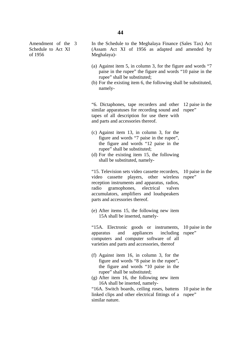Amendment of the Schedule to Act XI of 1956

In the Schedule to the Meghalaya Finance (Sales Tax) Act (Assam Act XI of 1956 as adapted and amended by Meghalaya)-

- (a) Against item 5, in column 3, for the figure and words "7 paise in the rupee" the figure and words "10 paise in the rupee" shall be substituted;
- (b) For the existing item 6, the following shall be substituted, namely-

"6. Dictaphones, tape recorders and other 12 paise in the similar apparatuses for recording sound and rupee" tapes of all description for use there with and parts and accessories thereof.

- (c) Against item 13, in column 3, for the figure and words "7 paise in the rupee", the figure and words "12 paise in the rupee" shall be substituted;
- (d) For the existing item 15, the following shall be substituted, namely-

"15. Television sets video cassette recorders, video cassette players, other wireless rupee" reception instruments and apparatus, radios, radio gramophones, electrical valves accumulators, amplifiers and loudspeakers parts and accessories thereof. 10 paise in the

(e) After items 15, the following new item 15A shall be inserted, namely-

"15A. Electronic goods or instruments, apparatus and appliances computers and computer software of all varieties and parts and accessories, thereof 10 paise in the including rupee"

- (f) Against item 16, in column 3, for the figure and words "8 paise in the rupee", the figure and words "10 paise in the rupee" shall be substituted;
- (g) After item 16, the following new item 16A shall be inserted, namely-

"16A. Switch boards, ceiling roses, battens 10 paise in the linked clips and other electrical fittings of a rupee" similar nature.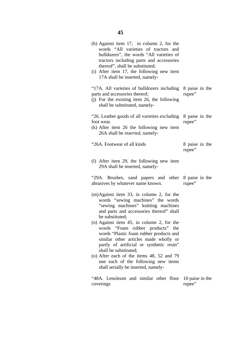| (h) Against item $17$ , in column 2, for the<br>words "All varieties of tractors and<br>bulldozers", the words "All varieties of<br>tractors including parts and accessories<br>thereof", shall be substituted;<br>(i) After item 17, the following new item<br>17A shall be inserted, namely- |                           |
|------------------------------------------------------------------------------------------------------------------------------------------------------------------------------------------------------------------------------------------------------------------------------------------------|---------------------------|
| "17A. All varieties of bulldozers including 8 paise in the<br>parts and accessories thereof;<br>(j) For the existing item 26, the following<br>shall be substituted, namely-                                                                                                                   | rupee"                    |
| "26. Leather goods of all varieties excluding<br>foot wear.<br>$(k)$ After item 26 the following new item<br>26A shall be <i>inserted</i> , namely-                                                                                                                                            | 8 paise in the<br>rupee"  |
| "26A. Footwear of all kinds                                                                                                                                                                                                                                                                    | 8 paise in the<br>rupee"  |
| (1) After item 29, the following new item<br>29A shall be inserted, namely-                                                                                                                                                                                                                    |                           |
| "29A. Brushes, sand papers and other 8 paise in the<br>abrasives by whatever name known.                                                                                                                                                                                                       | rupee"                    |
| $(m)$ Against item 33, in column 2, for the<br>words "sewing machines" the words<br>"sewing machines" knitting machines<br>and parts and accessories thereof" shall<br>be substituted;                                                                                                         |                           |
| (n) Against item 45, in column 2, for the<br>words "Foam rubber products"<br>the<br>words "Plastic foam rubber products and<br>similar other articles made wholly or<br>partly of artificial or synthetic resin"<br>shall be substituted;                                                      |                           |
| (o) After each of the items 48, 52 and 79<br>one each of the following new items<br>shall serially be inserted, namely-                                                                                                                                                                        |                           |
| "48A. Lenoleum and similar other floor<br>coverings                                                                                                                                                                                                                                            | 10 paise in the<br>rupee" |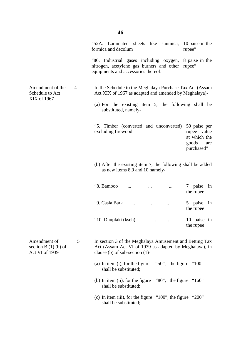|                                                         |   | "52A. Laminated sheets like sunmica,<br>10 paise in the<br>formica and decolum<br>rupee"                                                                |
|---------------------------------------------------------|---|---------------------------------------------------------------------------------------------------------------------------------------------------------|
|                                                         |   | "80. Industrial gases including oxygen,<br>8 paise in the<br>nitrogen, acetylene gas burners and other<br>rupee"<br>equipments and accessories thereof. |
| Amendment of the<br>Schedule to Act<br>XIX of 1967      | 4 | In the Schedule to the Meghalaya Purchase Tax Act (Assam<br>Act XIX of 1967 as adapted and amended by Meghalaya)-                                       |
|                                                         |   | (a) For the existing item 5, the following shall be<br>substituted, namely-                                                                             |
|                                                         |   | "5. Timber (converted and unconverted)<br>50 paise per<br>excluding firewood<br>rupee value<br>at which the<br>goods<br>are<br>purchased"               |
|                                                         |   | (b) After the existing item 7, the following shall be added<br>as new items 8,9 and 10 namely-                                                          |
|                                                         |   | "8. Bamboo<br>7 paise<br>in<br><br>the rupee                                                                                                            |
|                                                         |   | "9. Casia Bark<br>5 paise<br>in<br>$\cdots$<br>the rupee                                                                                                |
|                                                         |   | "10. Dhuplaki (kseh)<br>10 paise in<br>the rupee                                                                                                        |
| Amendment of<br>section $B(1)$ (b) of<br>Act VI of 1939 | 5 | In section 3 of the Meghalaya Amusement and Betting Tax<br>Act (Assam Act VI of 1939 as adapted by Meghalaya), in<br>clause (b) of sub-section $(1)$ -  |
|                                                         |   | "50", the figure " $100$ "<br>(a) In item $(i)$ , for the figure<br>shall be substituted;                                                               |
|                                                         |   | "80", the figure " $160$ "<br>(b) In item $(ii)$ , for the figure<br>shall be substituted;                                                              |
|                                                         |   | (c) In item (iii), for the figure " $100$ ", the figure<br>"200"<br>shall be substituted;                                                               |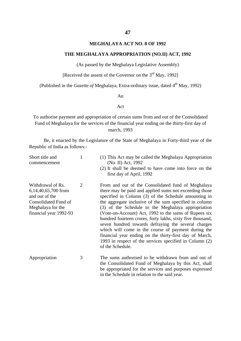### **MEGHALAYA ACT NO. 8 OF 1992**

### **THE MEGHALAYA APPROPRIATION (NO.II) ACT, 1992**

(As passed by the Meghalaya Legislative Assembly)

[Received the assent of the Governor on the  $3<sup>rd</sup>$  May, 1992]

(Published in the *Gazette of* Meghalaya, Extra-ordinary issue, dated 4<sup>th</sup> May, 1992)

#### An

### Act

To authorise payment and appropriation of certain sums from and out of the Consolidated Fund of Meghalaya for the services of the financial year ending on the thirty-first day of march, 1993

Be, it enacted by the Legislature of the State of Meghalaya in Forty-third year of the Republic of India as follows:-

| Short title and<br>commencement                                                                                                   | 1              | (1) This Act may be called the Meghalaya Appropriation<br>(No. II) Act, 1992<br>(2) It shall be deemed to have come into force on the<br>first day of April, 1992                                                                                                                                                                                                                                                                                                                                                                                                                                                                                                   |
|-----------------------------------------------------------------------------------------------------------------------------------|----------------|---------------------------------------------------------------------------------------------------------------------------------------------------------------------------------------------------------------------------------------------------------------------------------------------------------------------------------------------------------------------------------------------------------------------------------------------------------------------------------------------------------------------------------------------------------------------------------------------------------------------------------------------------------------------|
| Withdrawal of Rs.<br>6,14,40,65,700 from<br>and out of the<br>Consolidated Fund of<br>Meghalaya for the<br>financial year 1992-93 | $\overline{2}$ | From and out of the Consolidated fund of Meghalaya<br>there may be paid and applied sums not exceeding those<br>specified in Column (3) of the Schedule amounting in<br>the aggregate inclusive of the sum specified in column<br>(3) of the Schedule to the Meghalaya appropriation<br>(Vote-on-Account) Act, 1992 to the sums of Rupees six<br>hundred fourteen crores, forty lakhs, sixty five thousand,<br>seven hundred towards defraying the several charges<br>which will come in the course of payment during the<br>financial year ending on the thirty-first day of March,<br>1993 in respect of the services specified in Column (2)<br>of the Schedule. |
| Appropriation                                                                                                                     | 3              | The sums authorised to be withdrawn from and out of<br>the Consolidated Fund of Meghalaya by this Act, shall<br>be appropriated for the services and purposes expressed                                                                                                                                                                                                                                                                                                                                                                                                                                                                                             |

in the Schedule in relation to the said year.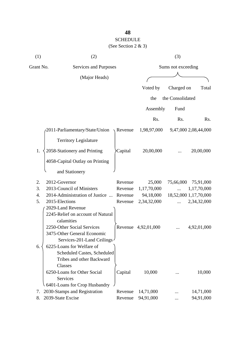## **48** SCHEDULE

## (See Section 2 & 3)

| (1)       | (2)                                                                                              |                  | (3)                 |                  |                       |
|-----------|--------------------------------------------------------------------------------------------------|------------------|---------------------|------------------|-----------------------|
| Grant No. | Services and Purposes                                                                            |                  | Sums not exceeding  |                  |                       |
|           | (Major Heads)                                                                                    |                  |                     |                  |                       |
|           |                                                                                                  |                  | Voted by            | Charged on       | Total                 |
|           |                                                                                                  |                  |                     | the Consolidated |                       |
|           |                                                                                                  |                  | the                 |                  |                       |
|           |                                                                                                  |                  | Assembly            | Fund             |                       |
|           |                                                                                                  |                  | Rs.                 | Rs.              | Rs.                   |
|           | 2011-Parliamentary/State/Union                                                                   | $\sqrt{$ Revenue | 1,98,97,000         |                  | 9,47,000 2,08,44,000  |
|           | <b>Territory Legislature</b>                                                                     |                  |                     |                  |                       |
| 1.        | 2058-Stationery and Printing                                                                     | Capital          | 20,00,000           |                  | 20,00,000             |
|           | 4058-Capital Outlay on Printing                                                                  |                  |                     |                  |                       |
|           | and Stationery                                                                                   |                  |                     |                  |                       |
| 2.        | 2012-Governor                                                                                    | Revenue          | 25,000              | 75,66,000        | 75,91,000             |
| 3.        | 2013-Council of Ministers                                                                        | Revenue          | 1,17,70,000         | $\ddotsc$        | 1,17,70,000           |
| 4.        | 2014-Administration of Justice                                                                   | Revenue          | 94,18,000           |                  | 18,52,000 1,17,70,000 |
| 5.        | 2015-Elections                                                                                   | Revenue          | 2,34,32,000         | $\cdots$         | 2,34,32,000           |
|           | 2029-Land Revenue<br>2245-Relief on account of Natural<br>calamities                             |                  |                     |                  |                       |
|           | 2250-Other Social Services<br>3475-Other General Economic<br>Services-201-Land Ceilings          |                  | Revenue 4,92,01,000 |                  | 4,92,01,000           |
| 6.        | 6225-Loans for Welfare of<br>Scheduled Castes, Scheduled<br>Tribes and other Backward<br>Classes |                  |                     |                  |                       |
|           | 6250-Loans for Other Social<br><b>Services</b><br>6401-Loans for Crop Husbandry                  | Capital          | 10,000              |                  | 10,000                |
| 7.        | 2030-Stamps and Registration                                                                     | Revenue          | 14,71,000           |                  | 14,71,000             |
| 8.        | 2039-State Excise                                                                                | Revenue          | 94,91,000           |                  | 94,91,000             |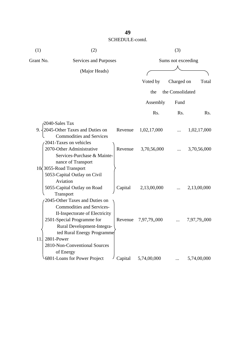| (1)       | (2)                              | (3)     |                    |                  |              |
|-----------|----------------------------------|---------|--------------------|------------------|--------------|
| Grant No. | Services and Purposes            |         | Sums not exceeding |                  |              |
|           | (Major Heads)                    |         |                    |                  |              |
|           |                                  |         |                    |                  |              |
|           |                                  |         | Voted by           | Charged on       | Total        |
|           |                                  |         | the                | the Consolidated |              |
|           |                                  |         | Assembly           | Fund             |              |
|           |                                  |         | Rs.                | Rs.              | Rs.          |
|           | 2040-Sales Tax                   |         |                    |                  |              |
| $9. -$    | 2045-Other Taxes and Duties on   | Revenue | 1,02,17,000        |                  | 1,02,17,000  |
|           | <b>Commodities and Services</b>  |         |                    |                  |              |
|           | 2041-Taxes on vehicles           |         |                    |                  |              |
|           | 2070-Other Administrative        | Revenue | 3,70,56,000        |                  | 3,70,56,000  |
|           | Services-Purchase & Mainte-      |         |                    |                  |              |
|           | nance of Transport               |         |                    |                  |              |
|           | 10 3055-Road Transport           |         |                    |                  |              |
|           | 5053-Capital Outlay on Civil     |         |                    |                  |              |
|           | Aviation                         |         |                    |                  |              |
|           | 5055-Capital Outlay on Road      | Capital | 2,13,00,000        |                  | 2,13,00,000  |
|           | Transport                        |         |                    |                  |              |
|           | 2045-Other Taxes and Duties on   |         |                    |                  |              |
|           | <b>Commodities and Services-</b> |         |                    |                  |              |
|           | II-Inspectorate of Electricity   |         |                    |                  |              |
|           | 2501-Special Programme for       | Revenue | 7,97,79,,000       |                  | 7,97,79,,000 |
|           | Rural Development-Integra-       |         |                    |                  |              |
|           | ted Rural Energy Programme       |         |                    |                  |              |
| 11.       | 2801-Power                       |         |                    |                  |              |
|           | 2810-Non-Conventional Sources    |         |                    |                  |              |
|           | of Energy                        |         |                    |                  |              |
|           | 6801-Loans for Power Project     | Capital | 5,74,00,000        |                  | 5,74,00,000  |

## **49**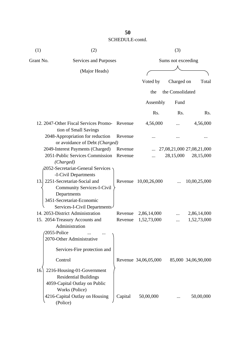| (1)       | (2)                                                                             |         |                      | (3)                |                           |
|-----------|---------------------------------------------------------------------------------|---------|----------------------|--------------------|---------------------------|
| Grant No. | Services and Purposes                                                           |         |                      | Sums not exceeding |                           |
|           | (Major Heads)                                                                   |         |                      |                    |                           |
|           |                                                                                 |         | Voted by             | Charged on         | Total                     |
|           |                                                                                 |         | the                  | the Consolidated   |                           |
|           |                                                                                 |         |                      |                    |                           |
|           |                                                                                 |         | Assembly             | Fund               |                           |
|           |                                                                                 |         | R <sub>s</sub> .     | Rs.                | R <sub>s</sub> .          |
|           | 12. 2047-Other Fiscal Services Promo-<br>tion of Small Savings                  | Revenue | 4,56,000             |                    | 4,56,000                  |
|           | 2048-Appropriation for reduction<br>or avoidance of Debt (Charged)              | Revenue |                      |                    |                           |
|           | 2049-Interest Payments (Charged)                                                | Revenue |                      |                    | 27,08,21,000 27,08,21,000 |
|           | 2051-Public Services Commission<br>(Charged)                                    | Revenue |                      | 28,15,000          | 28,15,000                 |
|           | 2052-Secretariat-General Services                                               |         |                      |                    |                           |
|           | -I-Civil Departments                                                            |         |                      |                    |                           |
| 13.       | 2251-Secretariat-Social and<br><b>Community Services-I-Civil</b><br>Departments | Revenue | 10,00,26,000         |                    | 10,00,25,000              |
|           | 3451-Secretariat-Economic                                                       |         |                      |                    |                           |
|           | Services-I-Civil Departments-                                                   |         |                      |                    |                           |
|           | 14. 2053-District Administration                                                | Revenue | 2,86,14,000          |                    | 2,86,14,000               |
|           | 15. 2054-Treasury Accounts and<br>Administration                                | Revenue | 1,52,73,000          |                    | 1,52,73,000               |
|           | 2055-Police<br>2070-Other Administrative                                        |         |                      |                    |                           |
|           | Services-Fire protection and                                                    |         |                      |                    |                           |
|           | Control                                                                         |         | Revenue 34,06,05,000 |                    | 85,000 34,06,90,000       |
| 16.       | 2216-Housing-01-Government<br><b>Residential Buildings</b>                      |         |                      |                    |                           |
|           | 4059-Capital Outlay on Public                                                   |         |                      |                    |                           |
|           | Works (Police)                                                                  |         |                      |                    |                           |
|           | 4216-Capital Outlay on Housing<br>(Police)                                      | Capital | 50,00,000            |                    | 50,00,000                 |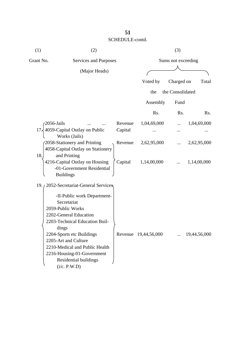| (1)        | (2)                                                                                                                                                                 |         |                      | (3)                |              |
|------------|---------------------------------------------------------------------------------------------------------------------------------------------------------------------|---------|----------------------|--------------------|--------------|
| Grant No.  | Services and Purposes                                                                                                                                               |         |                      | Sums not exceeding |              |
|            | (Major Heads)                                                                                                                                                       |         |                      |                    |              |
|            |                                                                                                                                                                     |         | Voted by             | Charged on         | Total        |
|            |                                                                                                                                                                     |         | the                  | the Consolidated   |              |
|            |                                                                                                                                                                     |         | Assembly             | Fund               |              |
|            |                                                                                                                                                                     |         | Rs.                  | Rs.                | Rs.          |
| 2056-Jails |                                                                                                                                                                     | Revenue | 1,04,69,000          |                    | 1,04,69,000  |
| 172        | 4059-Capital Outlay on Public                                                                                                                                       | Capital |                      |                    |              |
|            | Works (Jails)<br>2058-Stationery and Printing<br>4058-Capital Outlay on Stationery                                                                                  | Revenue | 2,62,95,000          |                    | 2,62,95,000  |
| 18.        | and Printing<br>4216-Capital Outlay on Housing<br>-01-Government Residential<br><b>Buildings</b>                                                                    | Capital | 1,14,00,000          |                    | 1,14,00,000  |
|            | 19. / 2052-Secretariat-General Services                                                                                                                             |         |                      |                    |              |
|            | -II-Public work Department-<br>Secretariat<br>2059-Public Works<br>2202-General Education<br>2203-Technical Education Buil-                                         |         |                      |                    |              |
|            | dings<br>2204-Sports etc Buildings<br>2205-Art and Culture<br>2210-Medical and Public Health<br>2216-Housing-01-Government<br>Residential buildings<br>(i/c. P.W.D) |         | Revenue 19,44,56,000 |                    | 19,44,56,000 |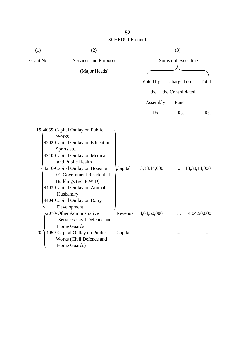| (1)       | (2)                                                                                                                                                                                                                                                                                                                                         |         |              | (3)                |              |
|-----------|---------------------------------------------------------------------------------------------------------------------------------------------------------------------------------------------------------------------------------------------------------------------------------------------------------------------------------------------|---------|--------------|--------------------|--------------|
| Grant No. | Services and Purposes                                                                                                                                                                                                                                                                                                                       |         |              | Sums not exceeding |              |
|           | (Major Heads)                                                                                                                                                                                                                                                                                                                               |         |              |                    |              |
|           |                                                                                                                                                                                                                                                                                                                                             |         | Voted by     | Charged on         | Total        |
|           |                                                                                                                                                                                                                                                                                                                                             |         | the          | the Consolidated   |              |
|           |                                                                                                                                                                                                                                                                                                                                             |         | Assembly     | Fund               |              |
|           |                                                                                                                                                                                                                                                                                                                                             |         | Rs.          | Rs.                | Rs.          |
|           | 19.4059-Capital Outlay on Public<br>Works<br>4202-Capital Outlay on Education,<br>Sports etc.<br>4210-Capital Outlay on Medical<br>and Public Health<br>4216-Capital Outlay on Housing<br>-01-Government Residential<br>Buildings (i/c. P.W.D)<br>4403-Capital Outlay on Animal<br>Husbandry<br>4404-Capital Outlay on Dairy<br>Development | Capital | 13,38,14,000 |                    | 13,38,14,000 |
|           | 2070-Other Administrative<br>Services-Civil Defence and<br><b>Home Guards</b>                                                                                                                                                                                                                                                               | Revenue | 4,04,50,000  |                    | 4,04,50,000  |
| 20.       | 4059-Capital Outlay on Public<br>Works (Civil Defence and<br>Home Guards)                                                                                                                                                                                                                                                                   | Capital |              |                    |              |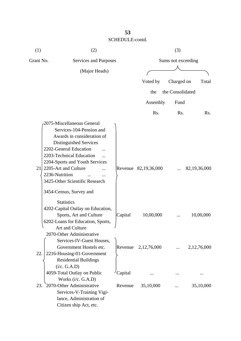| (1)       | (2)                                                                                                            |         |                      | (3)                |                |
|-----------|----------------------------------------------------------------------------------------------------------------|---------|----------------------|--------------------|----------------|
| Grant No. | Services and Purposes                                                                                          |         |                      | Sums not exceeding |                |
|           | (Major Heads)                                                                                                  |         |                      |                    |                |
|           |                                                                                                                |         |                      |                    | Total          |
|           |                                                                                                                |         | Voted by             | Charged on         |                |
|           |                                                                                                                |         | the                  | the Consolidated   |                |
|           |                                                                                                                |         | Assembly             | Fund               |                |
|           |                                                                                                                |         | Rs.                  | Rs.                | Rs.            |
|           | 2075-Miscellaneous General<br>Services-104-Pension and                                                         |         |                      |                    |                |
|           | Awards in consideration of<br>Distinguished Services<br>2202-General Education<br>2203-Technical Education     |         |                      |                    |                |
| 21        | 2204-Sports and Youth Services<br>2205-Art and Culture<br>2236-Nutrition<br>3425-Other Scientific Research     |         | Revenue 82,19,36,000 |                    | 82,19,36,000   |
|           | 3454-Census, Survey and<br><b>Statistics</b><br>4202-Capital Outlay on Education,<br>Sports, Art and Culture   | Capital | 10,00,000            |                    | 10,00,000      |
|           | 6202-Loans for Education, Sports,<br>Art and Culture<br>2070-Other Administrative<br>Services-IV-Guest Houses, |         |                      |                    |                |
| 22.       | Government Hostels etc.<br>2216-Housing-01-Government<br><b>Residential Buildings</b><br>(i/c. G.A.D)          | Revenue | 2,12,76,000          |                    | 2, 12, 76, 000 |
|           | 4059-Total Outlay on Public<br>Works (i/c. G.A.D)                                                              | Capital |                      |                    |                |
| 23.       | 2070-Other Administrative<br>Services-V-Training Vigi-<br>lance, Administration of<br>Citizen ship Act, etc.   | Revenue | 35,10,000            |                    | 35,10,000      |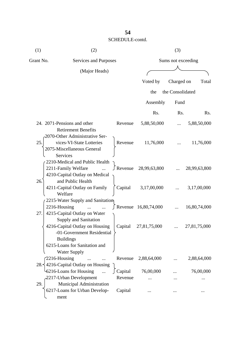| (1)       | (2)                                                                                                         |         |                             | (3)                |              |
|-----------|-------------------------------------------------------------------------------------------------------------|---------|-----------------------------|--------------------|--------------|
| Grant No. | Services and Purposes                                                                                       |         |                             | Sums not exceeding |              |
|           | (Major Heads)                                                                                               |         |                             |                    |              |
|           |                                                                                                             |         | Voted by                    | Charged on         | Total        |
|           |                                                                                                             |         | the                         | the Consolidated   |              |
|           |                                                                                                             |         | Assembly                    | Fund               |              |
|           |                                                                                                             |         |                             |                    |              |
|           |                                                                                                             |         | Rs.                         | Rs.                | Rs.          |
|           | 24. 2071-Pensions and other<br><b>Retirement Benefits</b>                                                   | Revenue | 5,88,50,000                 |                    | 5,88,50,000  |
| 25.       | 2070-Other Administrative Ser-<br>vices-VI-State Lotteries<br>2075-Miscellaneous General<br><b>Services</b> | Revenue | 11,76,000                   |                    | 11,76,000    |
|           | 2210-Medical and Public Health<br>2211-Family Welfare<br>4210-Capital Outlay on Medical                     | Revenue | 28,99,63,800                |                    | 28,99,63,800 |
| 26.       | and Public Health<br>4211-Capital Outlay on Family<br>Welfare                                               | Capital | 3,17,00,000                 |                    | 3,17,00,000  |
| 27.       | 2215-Water Supply and Sanitation<br>2216-Housing<br>4215-Capital Outlay on Water                            |         | $\int$ Revenue 16,80,74,000 |                    | 16,80,74,000 |
|           | Supply and Sanitation<br>4216-Capital Outlay on Housing<br>-01-Government Residential<br><b>Buildings</b>   |         | Capital 27,81,75,000        |                    | 27,81,75,000 |
|           | 6215-Loans for Sanitation and<br><b>Water Supply</b>                                                        |         |                             |                    |              |
|           | 2216-Housing                                                                                                | Revenue | 2,88,64,000                 |                    | 2,88,64,000  |
|           | 28. 4216-Capital Outlay on Housing<br>6216-Loans for Housing                                                | Capital | 76,00,000                   |                    | 76,00,000    |
| 29.       | 2217-Urban Development<br>Municipal Administration                                                          | Revenue |                             |                    |              |
|           | 6217-Loans for Urban Develop-<br>ment                                                                       | Capital |                             |                    |              |

## **54**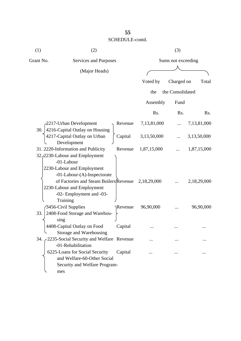| (1)       | (2)                                                                                                                                         |         |             | (3)                |                  |
|-----------|---------------------------------------------------------------------------------------------------------------------------------------------|---------|-------------|--------------------|------------------|
| Grant No. | Services and Purposes                                                                                                                       |         |             | Sums not exceeding |                  |
|           | (Major Heads)                                                                                                                               |         |             |                    |                  |
|           |                                                                                                                                             |         | Voted by    | Charged on         | Total            |
|           |                                                                                                                                             |         | the         | the Consolidated   |                  |
|           |                                                                                                                                             |         | Assembly    | Fund               |                  |
|           |                                                                                                                                             |         | Rs.         | Rs.                | R <sub>s</sub> . |
| 30.       | 2217-Urban Development<br>4216-Capital Outlay on Housing                                                                                    | Revenue | 7,13,81,000 | .                  | 7,13,81,000      |
|           | 4217-Capital Outlay on Urban<br>Development                                                                                                 | Capital | 3,13,50,000 |                    | 3,13,50,000      |
|           | 31. 2220-Information and Publicity<br>32. 2230-Labour and Employment<br>-01-Labour<br>2230-Labour and Employment                            | Revenue | 1,87,15,000 |                    | 1,87,15,000      |
|           | -01-Labour-(A)-Inspectorate<br>of Factories and Steam Boilers Revenue<br>2230-Labour and Employment<br>-02- Employment and -03-<br>Training |         | 2,18,29,000 |                    | 2,18,29,000      |
| 33.       | 3456-Civil Supplies<br>2408-Food Storage and Warehou-<br>sing                                                                               | Revenue | 96,90,000   |                    | 96,90,000        |
|           | 4408-Capital Outlay on Food<br>Storage and Warehousing                                                                                      | Capital |             |                    |                  |
|           | 34. 2235-Social Security and Welfare Revenue<br>-01-Rehabilitation                                                                          |         |             |                    |                  |
|           | 6225-Loans for Social Security<br>and Welfare-60-Other Social<br>Security and Welfare Program-<br>mes                                       | Capital |             |                    |                  |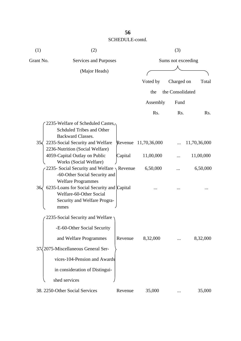| (1)          | (2)                                                                                                                                                                         |         |              | (3)                |              |
|--------------|-----------------------------------------------------------------------------------------------------------------------------------------------------------------------------|---------|--------------|--------------------|--------------|
| Grant No.    | Services and Purposes                                                                                                                                                       |         |              | Sums not exceeding |              |
|              | (Major Heads)                                                                                                                                                               |         |              |                    |              |
|              |                                                                                                                                                                             |         | Voted by     | Charged on         | Total        |
|              |                                                                                                                                                                             |         | the          | the Consolidated   |              |
|              |                                                                                                                                                                             |         | Assembly     | Fund               |              |
|              |                                                                                                                                                                             |         | Rs.          | Rs.                | Rs.          |
| $35\sqrt{ }$ | 2235-Welfare of Scheduled Castes,<br>Schduled Tribes and Other<br><b>Backward Classes.</b><br>2235-Social Security and Welfare                                              | Revenue | 11,70,36,000 |                    | 11,70,36,000 |
|              | 2236-Nutrition (Social Welfare)                                                                                                                                             |         |              |                    |              |
|              | 4059-Capital Outlay on Public                                                                                                                                               | Capital | 11,00,000    |                    | 11,00,000    |
|              | Works (Social Welfare)<br>2235- Social Security and Welfare $\gamma$ Revenue                                                                                                |         | 6,50,000     |                    | 6,50,000     |
| 36/          | -60-Other Social Security and<br><b>Welfare Programmes</b><br>6235-Loans for Social Security and Capital<br>Welfare-60-Other Social<br>Security and Welfare Progra-<br>mmes |         |              |                    |              |
|              | 2235-Social Security and Welfare                                                                                                                                            |         |              |                    |              |
|              | -E-60-Other Social Security                                                                                                                                                 |         |              |                    |              |
|              | and Welfare Programmes                                                                                                                                                      | Revenue | 8,32,000     |                    | 8,32,000     |
|              | 37/2075-Miscellaneous General Ser-                                                                                                                                          |         |              |                    |              |
|              | vices-104-Pension and Awards                                                                                                                                                |         |              |                    |              |
|              | in consideration of Distingui-                                                                                                                                              |         |              |                    |              |
|              | shed services                                                                                                                                                               |         |              |                    |              |
|              | 38. 2250-Other Social Services                                                                                                                                              | Revenue | 35,000       | $\cdots$           | 35,000       |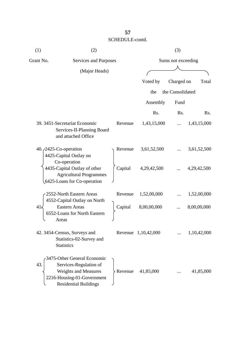| (1)       | (2)                                                                                                                                                |         |                     | (3)                |             |
|-----------|----------------------------------------------------------------------------------------------------------------------------------------------------|---------|---------------------|--------------------|-------------|
| Grant No. | Services and Purposes                                                                                                                              |         |                     | Sums not exceeding |             |
|           | (Major Heads)                                                                                                                                      |         |                     |                    |             |
|           |                                                                                                                                                    |         | Voted by            | Charged on         | Total       |
|           |                                                                                                                                                    |         | the                 | the Consolidated   |             |
|           |                                                                                                                                                    |         | Assembly            | Fund               |             |
|           |                                                                                                                                                    |         | R <sub>s</sub> .    | Rs.                | Rs.         |
|           | 39. 3451-Secretariat Economic<br>Services-II-Planning Board<br>and attached Office                                                                 | Revenue | 1,43,15,000         |                    | 1,43,15,000 |
|           | 40. $\sqrt{2425}$ -Co-operation<br>4425-Capital Outlay on<br>Co-operation                                                                          | Revenue | 3,61,52,500         |                    | 3,61,52,500 |
|           | 4435-Capital Outlay of other<br><b>Agricultural Programmes</b><br>6425-Loans for Co-operation                                                      | Capital | 4,29,42,500         |                    | 4,29,42,500 |
|           | 2552-North Eastern Areas<br>4552-Capital Outlay on North                                                                                           | Revenue | 1,52,00,000         |                    | 1,52,00,000 |
| 41:       | <b>Eastern Areas</b><br>6552-Loans for North Eastern<br>Areas                                                                                      | Capital | 8,00,00,000         |                    | 8,00,00,000 |
|           | 42. 3454-Census, Surveys and<br>Statistics-02-Survey and<br><b>Statistics</b>                                                                      |         | Revenue 1,10,42,000 |                    | 1,10,42,000 |
| 43.       | 3475-Other General Economic<br>Services-Regulation of<br><b>Weights and Measures</b><br>2216-Housing-01-Government<br><b>Residential Buildings</b> | Revenue | 41,85,000           |                    | 41,85,000   |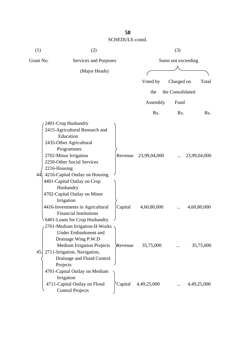| (1)       | (2)                                                                                                                                                                                                                                                                                              |                |                     | (3)                |              |
|-----------|--------------------------------------------------------------------------------------------------------------------------------------------------------------------------------------------------------------------------------------------------------------------------------------------------|----------------|---------------------|--------------------|--------------|
| Grant No. | Services and Purposes                                                                                                                                                                                                                                                                            |                |                     | Sums not exceeding |              |
|           | (Major Heads)                                                                                                                                                                                                                                                                                    |                |                     |                    |              |
|           |                                                                                                                                                                                                                                                                                                  |                | Voted by            | Charged on         | Total        |
|           |                                                                                                                                                                                                                                                                                                  |                | the                 | the Consolidated   |              |
|           |                                                                                                                                                                                                                                                                                                  |                |                     |                    |              |
|           |                                                                                                                                                                                                                                                                                                  |                | Assembly            | Fund               |              |
|           |                                                                                                                                                                                                                                                                                                  |                | Rs.                 | Rs.                | Rs.          |
| 44.       | 2401-Crop Husbandry<br>2415-Agricultural Research and<br>Education<br>2435-Other Agricultural<br>Programmes<br>2702-Minor Irrigation<br>2250-Other Social Services<br>2216-Housing<br>4216-Capital Outlay on Housing<br>4401-Capital Outlay on Crop<br>Husbandry<br>4702-Capital Outlay on Minor | Revenue        | 23,99,04,000        |                    | 23,99,04,000 |
|           | Irrigation<br>4416-Investments in Agricultural<br><b>Financial Institutions</b><br>6401-Loans for Crop Husbandry<br>$\sim$ 2701-Medium Irrigation-II-Works                                                                                                                                       | Capital        | 4,60,80,000         |                    | 4,60,80,000  |
| 45.       | Under Embankment and<br>Drainage Wing P.W.D<br><b>Medium Irrigation Projects</b><br>2711-Irrigation, Navigation,<br>Drainage and Flood Control<br>Projects                                                                                                                                       | <b>Revenue</b> | 35,75,000           |                    | 35,75,000    |
|           | 4701-Capital Outlay on Medium<br>Irrigation<br>4711-Capital Outlay on Flood<br><b>Control Projects</b>                                                                                                                                                                                           |                | Capital 4,49,25,000 |                    | 4,49,25,000  |

**58**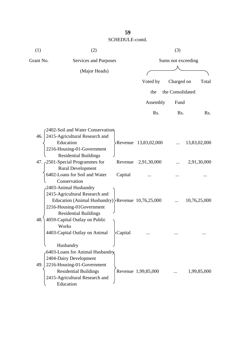| (1)       | (2)                                                     |         |                      | (3)                |              |
|-----------|---------------------------------------------------------|---------|----------------------|--------------------|--------------|
| Grant No. | Services and Purposes                                   |         |                      | Sums not exceeding |              |
|           | (Major Heads)                                           |         |                      |                    |              |
|           |                                                         |         | Voted by             | Charged on         | Total        |
|           |                                                         |         | the                  | the Consolidated   |              |
|           |                                                         |         |                      |                    |              |
|           |                                                         |         | Assembly             | Fund               |              |
|           |                                                         |         | Rs.                  | Rs.                | Rs.          |
|           | 2402-Soil and Water Conservation                        |         |                      |                    |              |
| 46.       | 2415-Agricultural Research and                          |         |                      |                    |              |
|           | Education                                               |         | Revenue 13,83,02,000 |                    | 13,83,02,000 |
|           | 2216-Housing-01-Government                              |         |                      |                    |              |
|           | <b>Residential Buildings</b>                            |         |                      |                    |              |
|           | 47. $\zeta$ 2501-Special Programmes for                 | Revenue | 2,91,30,000          |                    | 2,91,30,000  |
|           | <b>Rural Development</b>                                |         |                      |                    |              |
|           | 6402-Loans for Soil and Water                           | Capital |                      |                    |              |
|           | Conservation                                            |         |                      |                    |              |
|           | 2403-Animal Husbandry                                   |         |                      |                    |              |
|           | 2415-Agricultural Research and                          |         |                      |                    |              |
|           | Education (Animal Husbandry) $\Re$ Revenue 10,76,25,000 |         |                      |                    | 10,76,25,000 |
|           | 2216-Housing-01Government                               |         |                      |                    |              |
|           | <b>Residential Buildings</b>                            |         |                      |                    |              |
| 48.       | 4059-Capital Outlay on Public                           |         |                      |                    |              |
|           | Works                                                   |         |                      |                    |              |
|           | 4403-Capital Outlay on Animal                           | Capital |                      |                    |              |
|           | Husbandry                                               |         |                      |                    |              |
|           | 6403-Loans for Animal Husbandry                         |         |                      |                    |              |
|           | 2404-Dairy Development                                  |         |                      |                    |              |
| 49.       | 2216-Housing-01-Government                              |         |                      |                    |              |
|           | <b>Residential Buildings</b>                            |         | Revenue 1,99,85,000  |                    | 1,99,85,000  |
|           | 2415-Agricultural Research and                          |         |                      |                    |              |
|           | Education                                               |         |                      |                    |              |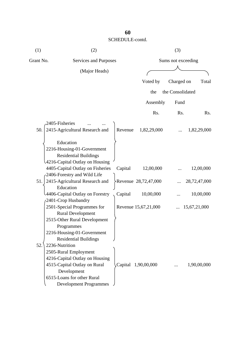| (1)       | (2)                              |         |                      | (3)                |              |
|-----------|----------------------------------|---------|----------------------|--------------------|--------------|
| Grant No. | Services and Purposes            |         |                      | Sums not exceeding |              |
|           | (Major Heads)                    |         |                      |                    |              |
|           |                                  |         | Voted by             | Charged on         | Total        |
|           |                                  |         | the                  | the Consolidated   |              |
|           |                                  |         | Assembly             | Fund               |              |
|           |                                  |         | Rs.                  | Rs.                | Rs.          |
|           | 2405-Fisheries                   |         |                      |                    |              |
| 50.       | 2415-Agricultural Research and   | Revenue | 1,82,29,000          |                    | 1,82,29,000  |
|           | Education                        |         |                      |                    |              |
|           | 2216-Housing-01-Government       |         |                      |                    |              |
|           | <b>Residential Buildings</b>     |         |                      |                    |              |
|           | 4216-Capital Outlay on Housing   |         |                      |                    |              |
|           | 4405-Capital Outlay on Fisheries | Capital | 12,00,000            |                    | 12,00,000    |
|           | 2406-Forestry and Wild Life      |         |                      |                    |              |
| 51.       | 2415-Agricultural Research and   |         | Revenue 28,72,47,000 |                    | 28,72,47,000 |
|           | Education                        |         |                      |                    |              |
|           | 4406-Capital Outlay on Forestry  | Capital | 10,00,000            |                    | 10,00,000    |
|           | 2401-Crop Husbandry              |         |                      |                    |              |
|           | 2501-Special Programmes for      |         | Revenue 15,67,21,000 |                    | 15,67,21,000 |
|           | <b>Rural Development</b>         |         |                      |                    |              |
|           | 2515-Other Rural Development     |         |                      |                    |              |
|           | Programmes                       |         |                      |                    |              |
|           | 2216-Housing-01-Government       |         |                      |                    |              |
|           | <b>Residential Buildings</b>     |         |                      |                    |              |
| 52.       | 2236-Nutrition                   |         |                      |                    |              |
|           | 2505-Rural Employment            |         |                      |                    |              |
|           | 4216-Capital Outlay on Housing   |         |                      |                    |              |
|           | 4515-Capital Outlay on Rural     | Capital | 1,90,00,000          |                    | 1,90,00,000  |
|           | Development                      |         |                      |                    |              |
|           | 6515-Loans for other Rural       |         |                      |                    |              |
|           | <b>Development Programmes</b>    |         |                      |                    |              |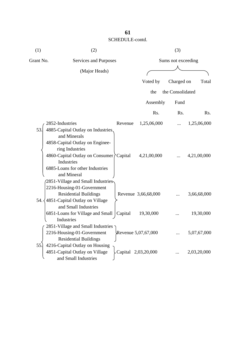| (1)       | (2)                                            |         |                     | (3)                |             |
|-----------|------------------------------------------------|---------|---------------------|--------------------|-------------|
| Grant No. | Services and Purposes                          |         |                     | Sums not exceeding |             |
|           | (Major Heads)                                  |         |                     |                    |             |
|           |                                                |         |                     |                    |             |
|           |                                                |         | Voted by            | Charged on         | Total       |
|           |                                                |         | the                 | the Consolidated   |             |
|           |                                                |         | Assembly            | Fund               |             |
|           |                                                |         | R <sub>s</sub> .    | Rs.                | Rs.         |
|           | 2852-Industries                                | Revenue | 1,25,06,000         |                    | 1,25,06,000 |
| 53.       | 4885-Capital Outlay on Industries.             |         |                     |                    |             |
|           | and Minerals                                   |         |                     |                    |             |
|           | 4858-Capital Outlay on Enginee-                |         |                     |                    |             |
|           | ring Industries                                |         |                     |                    |             |
|           | 4860-Capital Outlay on Consumer <i>Capital</i> |         | 4,21,00,000         |                    | 4,21,00,000 |
|           | Industries                                     |         |                     |                    |             |
|           | 6885-Loans for other Industries                |         |                     |                    |             |
|           | and Mineral                                    |         |                     |                    |             |
|           | 2851-Village and Small Industries-             |         |                     |                    |             |
|           | 2216-Housing-01-Government                     |         |                     |                    |             |
|           | <b>Residential Buildings</b>                   |         | Revenue 3,66,68,000 |                    | 3,66,68,000 |
| 54.       | 4851-Capital Outlay on Village                 |         |                     |                    |             |
|           | and Small Industries                           |         |                     |                    |             |
|           | 6851-Loans for Village and Small   Capital     |         | 19,30,000           |                    | 19,30,000   |
|           | Industries                                     |         |                     |                    |             |
|           | $\sim$ 2851-Village and Small Industries       |         |                     |                    |             |
|           | 2216-Housing-01-Government                     |         | Revenue 5,07,67,000 |                    | 5,07,67,000 |
|           | <b>Residential Buildings</b>                   |         |                     |                    |             |
| 55.       | 4216-Capital Outlay on Housing                 |         |                     |                    |             |
|           | 4851-Capital Outlay on Village                 |         | Capital 2,03,20,000 |                    | 2,03,20,000 |
|           | and Small Industries                           |         |                     |                    |             |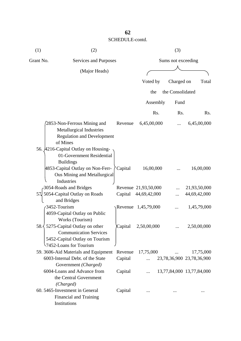| (1)       | (2)                                                                                                                                                                    |                    |                      | (3)              |                           |
|-----------|------------------------------------------------------------------------------------------------------------------------------------------------------------------------|--------------------|----------------------|------------------|---------------------------|
| Grant No. | Services and Purposes                                                                                                                                                  | Sums not exceeding |                      |                  |                           |
|           | (Major Heads)                                                                                                                                                          |                    |                      |                  |                           |
|           |                                                                                                                                                                        |                    | Voted by             | Charged on       | Total                     |
|           |                                                                                                                                                                        |                    |                      |                  |                           |
|           |                                                                                                                                                                        |                    | the                  | the Consolidated |                           |
|           |                                                                                                                                                                        |                    | Assembly             | Fund             |                           |
|           |                                                                                                                                                                        |                    | Rs.                  | Rs.              | R <sub>s</sub> .          |
|           | 2853-Non-Ferrous Mining and<br><b>Metallurgical Industries</b><br><b>Regulation and Development</b><br>of Mines                                                        | Revenue            | 6,45,00,000          |                  | 6,45,00,000               |
|           | 56. A216-Capital Outlay on Housing-<br>01-Government Residential<br><b>Buildings</b><br>4853-Capital Outlay on Non-Ferr-<br>Ous Mining and Metallurgical<br>Industries | Capital            | 16,00,000            |                  | 16,00,000                 |
|           | 3054-Roads and Bridges                                                                                                                                                 |                    | Revenue 21,93,50,000 |                  | 21,93,50,000              |
| 57Į       | 5054-Capital Outlay on Roads<br>and Bridges                                                                                                                            | Capital            | 44,69,42,000         |                  | 44,69,42,000              |
|           | 3452-Tourism<br>4059-Capital Outlay on Public                                                                                                                          |                    | Revenue 1,45,79,000  |                  | 1,45,79,000               |
|           | Works (Tourism)<br>58. $\langle$ 5275-Capital Outlay on other<br><b>Communication Services</b><br>5452-Capital Outlay on Tourism<br>57452-Loans for Tourism            | Capital            | 2,50,00,000          |                  | 2,50,00,000               |
|           | 59. 3606-Aid Materials and Equipment                                                                                                                                   |                    | Revenue 17,75,000    |                  | 17,75,000                 |
|           | 6003-Internal Debt. of the State<br>Government (Charged)                                                                                                               | Capital            | $\dddotsc$           |                  | 23,78,36,900 23,78,36,900 |
|           | 6004-Loans and Advance from<br>the Central Government<br>(Charged)                                                                                                     | Capital            |                      |                  | 13,77,84,000 13,77,84,000 |
|           | 60. 5465-Investment in General<br>Financial and Training<br>Institutions                                                                                               | Capital            |                      |                  |                           |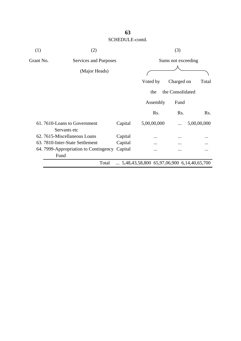| (1)       | (2)                                         |         | (3)                                                 |                  |                  |  |  |
|-----------|---------------------------------------------|---------|-----------------------------------------------------|------------------|------------------|--|--|
| Grant No. | Services and Purposes                       |         | Sums not exceeding                                  |                  |                  |  |  |
|           | (Major Heads)                               |         |                                                     |                  |                  |  |  |
|           |                                             |         | Voted by                                            | Charged on       | Total            |  |  |
|           |                                             |         | the                                                 | the Consolidated |                  |  |  |
|           |                                             |         | Assembly                                            | Fund             |                  |  |  |
|           |                                             |         | Rs.                                                 | Rs.              | R <sub>s</sub> . |  |  |
|           | 61.7610-Loans to Government<br>Servants etc | Capital | 5,00,00,000                                         | .                | 5,00,00,000      |  |  |
|           | 62.7615-Miscellaneous Loans                 | Capital |                                                     |                  |                  |  |  |
|           | 63. 7810-Inter-State Settlement             | Capital | .                                                   | .                |                  |  |  |
|           | 64. 7999-Appropriation to Contingency       | Capital |                                                     | .                |                  |  |  |
|           | Fund                                        |         |                                                     |                  |                  |  |  |
|           | Total                                       |         | $\ldots$ 5,48,43,58,800 65,97,06,900 6,14,40,65,700 |                  |                  |  |  |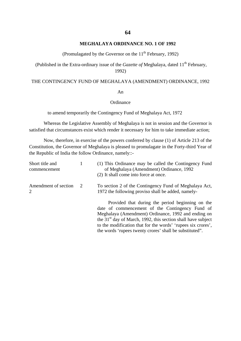### **MEGHALAYA ORDINANCE NO. 1 OF 1992**

(Promulagated by the Governor on the  $11<sup>th</sup>$  February, 1992)

(Published in the Extra-ordinary issue of the *Gazette of* Meghalaya, dated 11<sup>th</sup> February, 1992)

### THE CONTINGENCY FUND OF MEGHALAYA (AMENDMENT) ORDINANCE, 1992

## An

### **Ordinance**

to amend temporarily the Contingency Fund of Meghalaya Act, 1972

Whereas the Legislative Assembly of Meghalaya is not in session and the Governor is satisfied that circumstances exist which render it necessary for him to take immediate action;

Now, therefore, in exercise of the powers conferred by clause (1) of Article 213 of the Constitution, the Governor of Meghalaya is pleased to promulagate in the Forty-third Year of the Republic of India the follow Ordinance, namely::-

| Short title and<br>commencement |    | (1) This Ordinance may be called the Contingency Fund<br>of Meghalaya (Amendment) Ordinance, 1992<br>(2) It shall come into force at once.                                                                                                                                                                                                              |
|---------------------------------|----|---------------------------------------------------------------------------------------------------------------------------------------------------------------------------------------------------------------------------------------------------------------------------------------------------------------------------------------------------------|
| Amendment of section<br>2       | -2 | To section 2 of the Contingency Fund of Meghalaya Act,<br>1972 the following proviso shall be added, namely-                                                                                                                                                                                                                                            |
|                                 |    | Provided that during the period beginning on the<br>date of commencement of the Contingency Fund of<br>Meghalaya (Amendment) Ordinance, 1992 and ending on<br>the $31st$ day of March, 1992, this section shall have subject<br>to the modification that for the words' 'rupees six crores',<br>the words 'rupees twenty crores' shall be substituted". |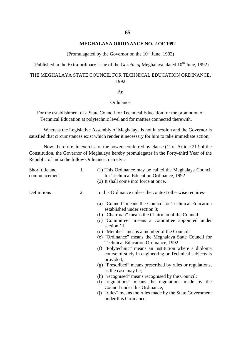### **65**

### **MEGHALAYA ORDINANCE NO. 2 OF 1992**

(Promulagated by the Governor on the  $10^{th}$  June, 1992)

(Published in the Extra-ordinary issue of the *Gazette of* Meghalaya, dated  $10^{th}$  June, 1992)

## THE MEGHALAYA STATE COUNCIL FOR TECHNICAL EDUCATION ORDINANCE, 1992

### An

## **Ordinance**

For the establishment of a State Council for Technical Education for the promotion of Technical Education at polytechnic level and for matters connected therewith.

Whereas the Legislative Assembly of Meghalaya is not in session and the Governor is satisfied that circumstances exist which render it necessary for him to take immediate action;

Now, therefore, in exercise of the powers conferred by clause (1) of Article 213 of the Constitution, the Governor of Meghalaya hereby promulagates in the Forty-third Year of the Republic of India the follow Ordinance, namely::-

| Short title and<br>commencement | $\mathbf{1}$ | (1) This Ordinance may be called the Meghalaya Council<br>for Technical Education Ordinance, 1992<br>(2) It shall come into force at once.   |
|---------------------------------|--------------|----------------------------------------------------------------------------------------------------------------------------------------------|
| Definitions                     | 2            | In this Ordinance unless the context otherwise requires-                                                                                     |
|                                 |              | (a) "Council" means the Council for Technical Education<br>established under section 3;<br>(b) "Chairman" means the Chairman of the Council; |
|                                 |              | (c) "Committee" means a committee appointed under<br>section 11;                                                                             |
|                                 |              | (d) "Member" means a member of the Council;                                                                                                  |
|                                 |              | (e) "Ordinance" means the Meghalaya State Council for                                                                                        |
|                                 |              | <b>Technical Education Ordinance, 1992</b>                                                                                                   |
|                                 |              | (f) "Polytechnic" means an institution where a diploma<br>course of study in engineering or Technical subjects is<br>provided;               |
|                                 |              | (g) "Prescribed" means prescribed by rules or regulations,<br>as the case may be;                                                            |
|                                 |              | (h) "recognised" means recognised by the Council;                                                                                            |
|                                 |              | (i) "regulations" means the regulations made by the                                                                                          |
|                                 |              | Council under this Ordinance;                                                                                                                |
|                                 |              | (i) "rules" means the rules made by the State Government<br>under this Ordinance;                                                            |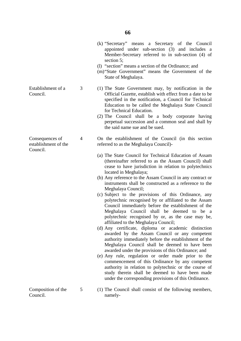- (k) "Secretary" means a Secretary of the Council appointed under sub-section (3) and includes a Member-Secretary referred to in sub-section (4) of section 5;
- (l) "section" means a section of the Ordinance; and
- (m)"State Government" means the Government of the State of Meghalaya.
- (1) The State Government may, by notification in the Official Gazette, establish with effect from a date to be specified in the notification, a Council for Technical Education to be called the Meghalaya State Council for Technical Education.
- (2) The Council shall be a body corporate having perpetual succession and a common seal and shall by the said name sue and be sued.
- On the establishment of the Council (in this section referred to as the Meghalaya Council)-
- (a) The State Council for Technical Education of Assam (thereinafter referred to as the Assam Council) shall cease to have jurisdiction in relation to polytechnics located in Meghalaya;
- (b) Any reference to the Assam Council in any contract or instruments shall be constructed as a reference to the Meghalaya Council;
- (c) Subject to the provisions of this Ordinance, any polytechnic recognised by or affiliated to the Assam Council immediately before the establishment of the Meghalaya Council shall be deemed to be a polytechnic recognised by or, as the case may be, affiliated to the Meghalaya Council;
- (d) Any certificate, diploma or academic distinction awarded by the Assam Council or any competent authority immediately before the establishment of the Meghalaya Council shall be deemed to have been awarded under the provisions of this Ordinance; and
- (e) Any rule, regulation or order made prior to the commencement of this Ordinance by any competent authority in relation to polytechnic or the course of study therein shall be deemed to have been made under the corresponding provisions of this Ordinance.
- Composition of the Council. 5 namely-
	- (1) The Council shall consist of the following members,

Establishment of a Council.

3

4

Consequences of establishment of the Council.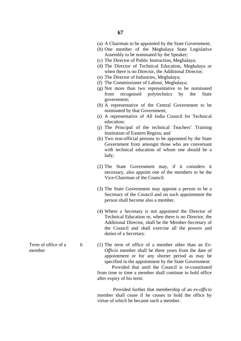- (a) A Chairman to be appointed by the State Government;
- (b) One member of the Meghalaya State Legislative Assembly to be nominated by the Speaker;
- (c) The Director of Public Instruction, Meghalaya;
- (d) The Director of Technical Education, Meghalaya or when there is no Director, the Additional Director;
- (e) The Director of Industries, Meghalaya;
- (f) The Commissioner of Labour, Meghalaya;
- (g) Not more than two representative to be nominated from recognised polytechnics by the State government;
- (h) A representative of the Central Government to be nominated by that Government;
- (i) A representative of All India Council for Technical education;
- (j) The Principal of the technical Teachers' Training Institution of Eastern Region; and
- (k) Two non-official persons to be appointed by the State Government from amongst those who are conversant with technical education of whom one should be a lady;
- (2) The State Government may, if it considers it necessary, also appoint one of the members to be the Vice-Chairman of the Council.
- (3) The State Government may appoint a person to be a Secretary of the Council and on such appointment the person shall become also a member.
- (4) Where a Secretary is not appointed the Director of Technical Education or, when there is no Director, the Additional Director, shall be the Member-Secretary of the Council and shall exercise all the powers and duties of a Secretary.
- (1) The term of office of a member other than an *Ex-Officio* member shall be three years from the date of appointment or for any shorter period as may be specified in the appointment by the State Government:

 Provided that until the Council is re-constituted from time to time a member shall continue to hold office after expiry of his term:

 Provided further that membership of an *ex-officio* member shall cease if he ceases to hold the office by virtue of which he became such a member.

Term of office of a member

6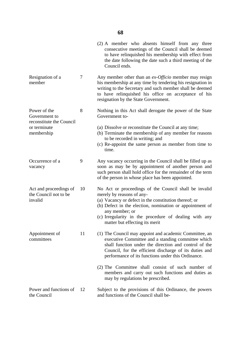|                                                            |    | (2) A member who absents himself from any three<br>consecutive meetings of the Council shall be deemed<br>to have relinquished his membership with effect from<br>the date following the date such a third meeting of the<br>Council ends.                                                                           |
|------------------------------------------------------------|----|----------------------------------------------------------------------------------------------------------------------------------------------------------------------------------------------------------------------------------------------------------------------------------------------------------------------|
| Resignation of a<br>member                                 | 7  | Any member other than an ex-Officio member may resign<br>his membership at any time by tendering his resignation in<br>writing to the Secretary and such member shall be deemed<br>to have relinquished his office on acceptance of his<br>resignation by the State Government.                                      |
| Power of the<br>Government to<br>reconstitute the Council  | 8  | Nothing in this Act shall derogate the power of the State<br>Government to-                                                                                                                                                                                                                                          |
| or terminate<br>membership                                 |    | (a) Dissolve or reconstitute the Council at any time;<br>(b) Terminate the membership of any member for reasons<br>to be recorded in writing; and<br>(c) Re-appoint the same person as member from time to<br>time.                                                                                                  |
| Occurrence of a<br>vacancy                                 | 9  | Any vacancy occurring in the Council shall be filled up as<br>soon as may be by appointment of another person and<br>such person shall hold office for the remainder of the term<br>of the person in whose place has been appointed.                                                                                 |
| Act and proceedings of<br>the Council not to be<br>invalid | 10 | No Act or proceedings of the Council shall be invalid<br>merely by reasons of any-<br>(a) Vacancy or defect in the constitution thereof; or<br>(b) Defect in the election, nomination or appointment of<br>any member; or<br>(c) Irregularity in the procedure of dealing with any<br>matter but effecting its merit |
| Appointment of<br>committees                               | 11 | (1) The Council may appoint and academic Committee, an<br>executive Committee and a standing committee which<br>shall function under the direction and control of the<br>Council, for the efficient discharge of its duties and<br>performance of its functions under this Ordinance.                                |
|                                                            |    | (2) The Committee shall consist of such number of<br>members and carry out such functions and duties as<br>may by regulations be prescribed.                                                                                                                                                                         |
| Power and functions of<br>the Council                      | 12 | Subject to the provisions of this Ordinance, the powers<br>and functions of the Council shall be-                                                                                                                                                                                                                    |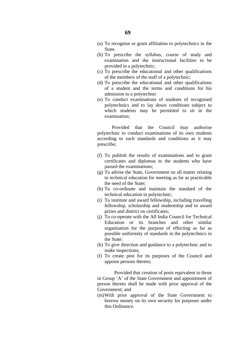- (a) To recognise or grant affiliation to polytechnics in the State.
- (b) To prescribe the syllabus, course of study and examination and the instructional facilities to be provided in a polytechnic;
- (c) To prescribe the educational and other qualifications of the members of the staff of a polytechnic;
- (d) To prescribe the educational and other qualifications of a student and the terms and conditions for his admission to a polytechnic
- (e) To conduct examinations of students of recognised polytechnics and to lay down conditions subject to which students may be permitted to sit in the examination;

 Provided that the Council may authorise polytechnic to conduct examinations of its own students according to such standards and conditions as it may prescribe;

- (f) To publish the results of examinations and to grant certificates and diplomas to the students who have passed the examinations;
- (g) To advise the State, Government on all matter relating to technical education for meeting as far as practicable the need of the State;
- (h) To co-ordinate and maintain the standard of the technical education in polytechnic;
- (i) To institute and award fellowship, including travelling fellowship, scholarship and studentship and to award prizes and district on certificates;
- (j) To co-operate with the All India Council for Technical Education or its branches and other similar organisation for the purpose of effecting as far as possible uniformity of standards in the polytechnics in the State:
- (k) To give direction and guidance to a polytechnic and to make inspections;
- (l) To create post for its purposes of the Council and appoint persons thereto;

 Provided that creation of posts equivalent to those in Group 'A' of the State Government and appointment of person thereto shall be made with prior approval of the Government; and

(m)With prior approval of the State Government to borrow money on its own security for purposes under this Ordinance.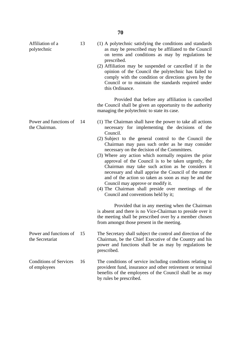| Affiliation of a<br>polytechnic               | 13 | (1) A polytechnic satisfying the conditions and standards<br>as may be prescribed may be affiliated to the Council<br>on terms and conditions as may by regulations be<br>prescribed.<br>(2) Affiliation may be suspended or cancelled if in the<br>opinion of the Council the polytechnic has failed to<br>comply with the condition or directions given by the<br>Council or to maintain the standards required under<br>this Ordinance.                                                                                                                                                                                                                                                                                                                                                                                                                                                                                              |
|-----------------------------------------------|----|-----------------------------------------------------------------------------------------------------------------------------------------------------------------------------------------------------------------------------------------------------------------------------------------------------------------------------------------------------------------------------------------------------------------------------------------------------------------------------------------------------------------------------------------------------------------------------------------------------------------------------------------------------------------------------------------------------------------------------------------------------------------------------------------------------------------------------------------------------------------------------------------------------------------------------------------|
|                                               |    | Provided that before any affiliation is cancelled<br>the Council shall be given an opportunity to the authority<br>managing the polytechnic to state its case.                                                                                                                                                                                                                                                                                                                                                                                                                                                                                                                                                                                                                                                                                                                                                                          |
| Power and functions of<br>the Chairman.       | 14 | (1) The Chairman shall have the power to take all actions<br>necessary for implementing the decisions of the<br>Council.<br>(2) Subject to the general control to the Council the<br>Chairman may pass such order as he may consider<br>necessary on the decision of the Committees.<br>(3) Where any action which normally requires the prior<br>approval of the Council is to be taken urgently, the<br>Chairman may take such action as he considers it<br>necessary and shall apprise the Council of the matter<br>and of the action so taken as soon as may be and the<br>Council may approve or modify it.<br>(4) The Chairman shall preside over meetings of the<br>Council and conventions held by it;<br>Provided that in any meeting when the Chairman<br>is absent and there is no Vice-Chairman to preside over it<br>the meeting shall be prescribed over by a member chosen<br>from amongst those present in the meeting. |
| Power and functions of<br>the Secretariat     | 15 | The Secretary shall subject the control and direction of the<br>Chairman, be the Chief Executive of the Country and his<br>power and functions shall be as may by regulations be<br>prescribed.                                                                                                                                                                                                                                                                                                                                                                                                                                                                                                                                                                                                                                                                                                                                         |
| <b>Conditions of Services</b><br>of employees | 16 | The conditions of service including conditions relating to<br>provident fund, insurance and other retirement or terminal<br>benefits of the employees of the Council shall be as may                                                                                                                                                                                                                                                                                                                                                                                                                                                                                                                                                                                                                                                                                                                                                    |

by rules be prescribed.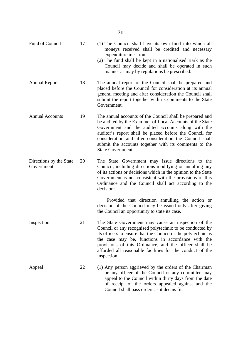| Fund of Council                       | 17 | (1) The Council shall have its own fund into which all<br>moneys received shall be credited and necessary<br>expenditure met from.<br>(2) The fund shall be kept in a nationalised Bark as the<br>Council may decide and shall be operated in such<br>manner as may by regulations be prescribed.                                                                               |
|---------------------------------------|----|---------------------------------------------------------------------------------------------------------------------------------------------------------------------------------------------------------------------------------------------------------------------------------------------------------------------------------------------------------------------------------|
| <b>Annual Report</b>                  | 18 | The annual report of the Council shall be prepared and<br>placed before the Council for consideration at its annual<br>general meeting and after consideration the Council shall<br>submit the report together with its comments to the State<br>Government.                                                                                                                    |
| <b>Annual Accounts</b>                | 19 | The annual accounts of the Council shall be prepared and<br>be audited by the Examiner of Local Accounts of the State<br>Government and the audited accounts along with the<br>auditor's report shall be placed before the Council for<br>consideration and after consideration the Council shall<br>submit the accounts together with its comments to the<br>State Government. |
| Directions by the State<br>Government | 20 | The State Government may issue directions to the<br>Council, including directions modifying or annulling any<br>of its actions or decisions which in the opinion to the State<br>Government is not consistent with the provisions of this<br>Ordinance and the Council shall act according to the<br>decision:                                                                  |
|                                       |    | Provided that direction annulling the action or<br>decision of the Council may be issued only after giving<br>the Council an opportunity to state its case.                                                                                                                                                                                                                     |
| Inspection                            | 21 | The State Government may cause an inspection of the<br>Council or any recognised polytechnic to be conducted by<br>its officers to ensure that the Council or the polytechnic as<br>the case may be, functions in accordance with the<br>provisions of this Ordinance, and the officer shall be<br>afforded all reasonable facilities for the conduct of the<br>inspection.     |
| Appeal                                | 22 | (1) Any person aggrieved by the orders of the Chairman<br>or any officer of the Council or any committee may<br>appeal to the Council within thirty days from the date<br>of receipt of the orders appealed against and the<br>Council shall pass orders as it deems fit.                                                                                                       |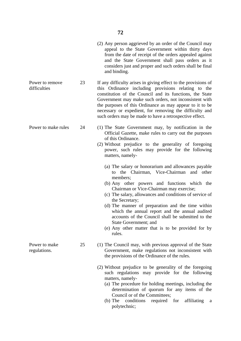(2) Any person aggrieved by an order of the Council may appeal to the State Government within thirty days from the date of receipt of the orders appealed against and the State Government shall pass orders as it considers just and proper and such orders shall be final and binding.

Power to remove difficulties 23 If any difficulty arises in giving effect to the provisions of this Ordinance including provisions relating to the constitution of the Council and its functions, the State Government may make such orders, not inconsistent with the purposes of this Ordinance as may appear to it to be necessary or expedient, for removing the difficulty and such orders may be made to have a retrospective effect.

- (1) The State Government may, by notification in the Official Gazette, make rules to carry out the purposes of this Ordinance.
- (2) Without prejudice to the generality of foregoing power, such rules may provide for the following matters, namely-
	- (a) The salary or honorarium and allowances payable to the Chairman, Vice-Chairman and other members;
	- (b) Any other powers and functions which the Chairman or Vice-Chairman may exercise;
	- (c) The salary, allowances and conditions of service of the Secretary;
	- (d) The manner of preparation and the time within which the annual report and the annual audited accounts of the Council shall be submitted to the State Government; and
	- (e) Any other matter that is to be provided for by rules.
- (1) The Council may, with previous approval of the State Government, make regulations not inconsistent with the provisions of the Ordinance of the rules.
	- (2) Without prejudice to be generality of the foregoing such regulations may provide for the following matters, namely-
		- (a) The procedure for holding meetings, including the determination of quorum for any items of the Council or of the Committees;
		- (b) The conditions required for affiliating a polytechnic;

Power to make rules

24

25

Power to make regulations.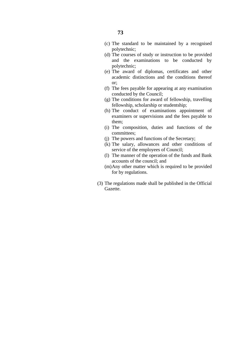- (d) The courses of study or instruction to be provided and the examinations to be conducted by polytechnic;
- (e) The award of diplomas, certificates and other academic distinctions and the conditions thereof or;
- (f) The fees payable for appearing at any examination conducted by the Council;
- (g) The conditions for award of fellowship, travelling fellowship, scholarship or studentship;
- (h) The conduct of examinations appointment of examiners or supervisions and the fees payable to them;
- (i) The composition, duties and functions of the committees;
- (j) The powers and functions of the Secretary;
- (k) The salary, allowances and other conditions of service of the employees of Council;
- (l) The manner of the operation of the funds and Bank accounts of the council; and
- (m)Any other matter which is required to be provided for by regulations.
- (3) The regulations made shall be published in the Official Gazette.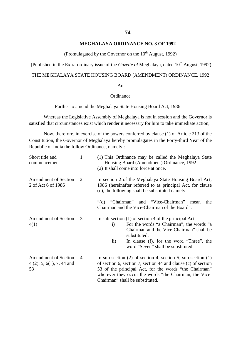## **MEGHALAYA ORDINANCE NO. 3 OF 1992**

(Promulagated by the Governor on the  $10^{th}$  August, 1992)

(Published in the Extra-ordinary issue of the *Gazette of* Meghalaya, dated 10<sup>th</sup> August, 1992)

# THE MEGHALAYA STATE HOUSING BOARD (AMENDMENT) ORDINANCE, 1992

#### An

### Ordinance

Further to amend the Meghalaya State Housing Board Act, 1986

Whereas the Legislative Assembly of Meghalaya is not in session and the Governor is satisfied that circumstances exist which render it necessary for him to take immediate action;

Now, therefore, in exercise of the powers conferred by clause (1) of Article 213 of the Constitution, the Governor of Meghalaya hereby promulagates in the Forty-third Year of the Republic of India the follow Ordinance, namely::-

| Short title and<br>commencement                                  | $\mathbf{1}$ | (1) This Ordinance may be called the Meghalaya State<br>Housing Board (Amendment) Ordinance, 1992<br>(2) It shall come into force at once.                                                                                                                                             |
|------------------------------------------------------------------|--------------|----------------------------------------------------------------------------------------------------------------------------------------------------------------------------------------------------------------------------------------------------------------------------------------|
| Amendment of Section<br>2 of Act 6 of 1986                       | 2            | In section 2 of the Meghalaya State Housing Board Act,<br>1986 (hereinafter referred to as principal Act, for clause<br>(d), the following shall be substituted namely-                                                                                                                |
|                                                                  |              | and "Vice-Chairman" mean<br>"Chairman"<br>" $(d)$<br>the<br>Chairman and the Vice-Chairman of the Board".                                                                                                                                                                              |
| <b>Amendment of Section</b><br>4(1)                              | 3            | In sub-section $(1)$ of section 4 of the principal Act-<br>For the words "a Chairman", the words "a<br>$\mathbf{i}$<br>Chairman and the Vice-Chairman" shall be<br>substituted;<br>In clause (f), for the word "Three", the<br>$\rm ii)$<br>word "Seven" shall be substituted.         |
| <b>Amendment of Section</b><br>$4(2)$ , 5, 6(1), 7, 44 and<br>53 | 4            | In sub-section $(2)$ of section 4, section 5, sub-section $(1)$<br>of section 6, section 7, section 44 and clause (c) of section<br>53 of the principal Act, for the words "the Chairman"<br>wherever they occur the words "the Chairman, the Vice-<br>Chairman" shall be substituted. |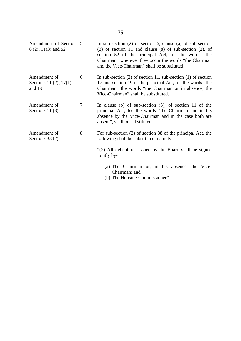| Amendment of Section 5<br>$6(2)$ , 11(3) and 52  |   | In sub-section $(2)$ of section 6, clause $(a)$ of sub-section<br>$(3)$ of section 11 and clause (a) of sub-section $(2)$ , of<br>section 52 of the principal Act, for the words "the<br>Chairman" wherever they occur the words "the Chairman"<br>and the Vice-Chairman" shall be substituted. |
|--------------------------------------------------|---|-------------------------------------------------------------------------------------------------------------------------------------------------------------------------------------------------------------------------------------------------------------------------------------------------|
| Amendment of<br>Sections 11 (2), 17(1)<br>and 19 | 6 | In sub-section $(2)$ of section 11, sub-section $(1)$ of section<br>17 and section 19 of the principal Act, for the words "the<br>Chairman" the words "the Chairman or in absence, the<br>Vice-Chairman" shall be substituted.                                                                  |
| Amendment of<br>Sections 11 $(3)$                | 7 | In clause (b) of sub-section $(3)$ , of section 11 of the<br>principal Act, for the words "the Chairman and in his<br>absence by the Vice-Chairman and in the case both are<br>absent", shall be substituted.                                                                                   |
| Amendment of<br>Sections $38(2)$                 | 8 | For sub-section (2) of section 38 of the principal Act, the<br>following shall be substituted, namely-                                                                                                                                                                                          |
|                                                  |   | "(2) All debentures issued by the Board shall be signed<br>jointly by-                                                                                                                                                                                                                          |
|                                                  |   | (a) The Chairman or, in his absence, the Vice-<br>Chairman; and<br>$\sqrt{1+\text{TH}}$ II $\sqrt{1+\text{H}}$ $\sqrt{1+\text{H}}$ $\sqrt{1+\text{H}}$                                                                                                                                          |

(b) The Housing Commissioner"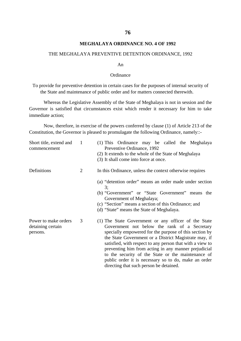# **MEGHALAYA ORDINANCE NO. 4 OF 1992**

### THE MEGHALAYA PREVENTIVE DETENTION ORDINANCE, 1992

#### An

### **Ordinance**

To provide for preventive detention in certain cases for the purposes of internal security of the State and maintenance of public order and for matters connected therewith.

Whereas the Legislative Assembly of the State of Meghalaya is not in session and the Governor is satisfied that circumstances exist which render it necessary for him to take immediate action;

Now, therefore, in exercise of the powers conferred by clause (1) of Article 213 of the Constitution, the Governor is pleased to promulagate the following Ordinance, namely::-

| Short title, extend and<br>commencement               | $\mathbf{1}$ | (1) This Ordinance may be called the Meghalaya<br>Preventive Ordinance, 1992<br>(2) It extends to the whole of the State of Meghalaya<br>(3) It shall come into force at once.                                                                                                                                                                                                                                                                                                                        |
|-------------------------------------------------------|--------------|-------------------------------------------------------------------------------------------------------------------------------------------------------------------------------------------------------------------------------------------------------------------------------------------------------------------------------------------------------------------------------------------------------------------------------------------------------------------------------------------------------|
| Definitions                                           | 2            | In this Ordinance, unless the context otherwise requires<br>(a) "detention order" means an order made under section<br>3;<br>(b) "Government" or "State Government" means the<br>Government of Meghalaya;<br>(c) "Section" means a section of this Ordinance; and                                                                                                                                                                                                                                     |
|                                                       |              | (d) "State" means the State of Meghalaya.                                                                                                                                                                                                                                                                                                                                                                                                                                                             |
| Power to make orders<br>detaining certain<br>persons. | 3            | (1) The State Government or any officer of the State<br>Government not below the rank of a Secretary<br>specially empowered for the purpose of this section by<br>the State Government or a District Magistrate may, if<br>satisfied, with respect to any person that with a view to<br>preventing him from acting in any manner prejudicial<br>to the security of the State or the maintenance of<br>public order it is necessary so to do, make an order<br>directing that such person be detained. |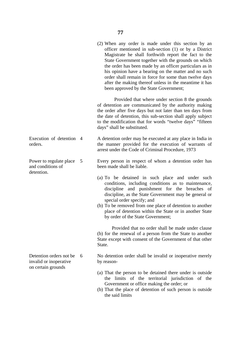(2) When any order is made under this section by an officer mentioned in sub-section (1) or by a District Magistrate he shall forthwith report the fact to the State Government together with the grounds on which the order has been made by an officer particulars as in his opinion have a bearing on the matter and no such order shall remain in force for some than twelve days after the making thereof unless in the meantime it has been approved by the State Government;

 Provided that where under section 8 the grounds of detention are communicated by the authority making the order after five days but not later than ten days from the date of detention, this sub-section shall apply subject to the modification that for words "twelve days" "fifteen days" shall be substituted.

Execution of detention 4 orders. A detention order may be executed at any place in India in the manner provided for the execution of warrants of arrest under the Code of Criminal Procedure, 1973

> Every person in respect of whom a detention order has been made shall be liable.

- (a) To be detained in such place and under such conditions, including conditions as to maintenance, discipline and punishment for the breaches of discipline, as the State Government may be general or special order specify; and
- (b) To be removed from one place of detention to another place of detention within the State or in another State by order of the State Government;

 Provided that no order shall be made under clause (b) for the renewal of a person from the State to another State except with consent of the Government of that other State.

No detention order shall be invalid or inoperative merely by reason-

- (a) That the person to be detained there under is outside the limits of the territorial jurisdiction of the Government or office making the order; or
- (b) That the place of detention of such person is outside the said limits

Power to regulate place 5 and conditions of detention.

Detention orders not be 6 invalid or inoperative on certain grounds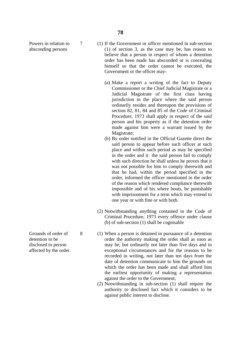Powers in relation to absconding persons

7

- (1) If the Government or officer mentioned in sub-section (1) of section 3, as the case may be, has reason to believe that a person in respect of whom a detention order has been made has absconded or is concealing himself so that the order cannot be executed, the Government or the officer may-
	- (a) Make a report a writing of the fact to Deputy Commissioner or the Chief Judicial Magistrate or a Judicial Magistrate of the first class having jurisdiction in the place where the said person ordinarily resides and thereupon the provisions of section 82, 81, 84 and 85 of the Code of Criminal Procedure, 1973 shall apply in respect of the said person and his property as if the detention order made against him were a warrant issued by the Magistrate;
	- (b) By order notified in the Official Gazette direct the said person to appear before such officer at such place and within such period as may be specified in the order and it the said person fail to comply with such direction he shall unless he proves that it was not possible for him to comply therewith and that he had, within the period specified in the order, informed the officer mentioned in the order of the reason which rendered compliance therewith impossible and of his where bouts, be punishable with imprisonment for a term which may extend to one year or with fine or with both.
- (2) Notwithstanding anything contained in the Code of Criminal Procedure, 1973 every offence under clause (b) of sub-section (1) shall be cognisable
- (1) When a person is detained in pursuance of a detention order the authority making the order shall as soon as may be, but ordinarily not later than five days and in exceptional circumstances and for the reasons to be recorded in writing, not later than ten days from the date of detention communicate to him the grounds on which the order has been made and shall afford him the earliest opportunity of making a representation against the order to the Government;
- (2) Notwithstanding in sub-section (1) shall require the authority to disclosed fact which it considers to be against public interest to disclose.

Grounds of order of detention to be disclosed to person affected by the order.

8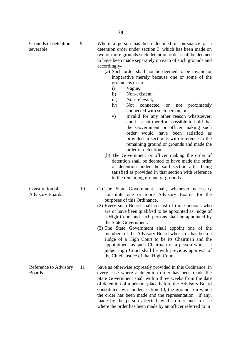Grounds of detention severable

9

Where a person has been detained in pursuance of a detention order under section 3, which has been made on two or more grounds such detention order shall be deemed to have been made separately on each of such grounds and accordingly-

- (a) Such order shall not be deemed to be invalid or inoperative merely because one or some of the grounds is or are
	- i) Vague,
	- ii) Non-existent,
	- iii) Non-relevant,
	- iv) Not connected or not proximately connected with such person, or
	- v) Invalid for any other reason whatsoever, and it is not therefore possible to hold that the Government or officer making such order would have been satisfied as provided in section 3 with reference to the remaining ground or grounds and made the order of detention.
- (b) The Government or officer making the order of detention shall be deemed to have made the order of detention under the said section after being satisfied as provided in that section with reference to the remaining ground or grounds.
- (1) The State Government shall, whenever necessary constitute one or more Advisory Boards for the purposes of this Ordinance.
	- (2) Every such Board shall consist of three persons who are or have been qualified to be appointed as Judge of a High Court and such persons shall be appointed by the State Government.
	- (3) The State Government shall appoint one of the members of the Advisory Board who is or has been a Judge of a High Court to be its Chairman and the appointment as such Chairman of a person who is a judge High Court shall be with previous approval of the Chief Justice of that High Court

Save as otherwise expressly provided in this Ordinance, in every case where a detention order has been made the State Government shall within three weeks from the date of detention of a person, place before the Advisory Board constituted by it under section 10, the grounds on which the order has been made and the representation , if any, made by the person affected by the order and in case where the order has been made by an officer referred to in

Constitution of Advisory Boards.

Reference to Advisory Boards 11

10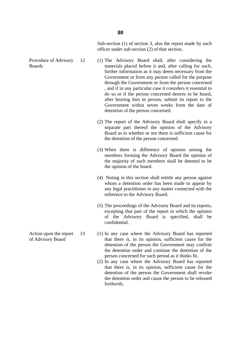Sub-section (1) of section 3, also the report made by such officer under sub-section (2) of that section.

- Procedure of Advisory 12 (1) The Advisory Board shall, after considering the materials placed before it and, after calling for such, further information as it may deem necessary from the Government or from any person called for the purpose through the Government or from the person concerned , and if in any particular case it considers it essential to do so or if the person concerned desires to be heard, after hearing him in person, submit its report to the Government within seven weeks from the date of detention of the person concerned.
	- (2) The report of the Advisory Board shall specify in a separate part thereof the opinion of the Advisory Board as to whether or not there is sufficient cause for the detention of the person concerned.
	- (3) When there is difference of opinion among the members forming the Advisory Board the opinion of the majority of such members shall be deemed to be the opinion of the board.
	- (4) Noting in this section shall entitle any person against whom a detention order has been made to appear by any legal practitioner in any matter connected with the reference to the Advisory Board.
	- (5) The proceedings of the Advisory Board and its reports, excepting that part of the report in which the opinion of the Advisory Board is specified, shall be confidential.
	- (1) In any case where the Advisory Board has reported that there is, in its opinion, sufficient cause for the detention of the person the Government may confirm the detention order and continue the detention of the person concerned for such period as it thinks fit.
		- (2) In any case where the Advisory Board has reported that there is, in its opinion, sufficient cause for the detention of the person the Government shall revoke the detention order and cause the person to be released forthwith.
- Action upon the report of Advisory Board 13

Boards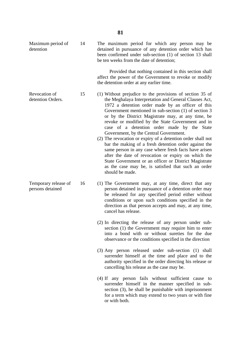Maximum period of detention 14 The maximum period for which any person may be detained in pursuance of any detention order which has been confirmed under sub-section (1) of section 13 shall be ten weeks from the date of detention;

> Provided that nothing contained in this section shall affect the power of the Government to revoke or modify the detention order at any earlier time.

- (1) Without prejudice to the provisions of section 35 of the Meghalaya Interpretation and General Clauses Act, 1972 a detention order made by an officer of this Government mentioned in sub-section (1) of section 3 or by the District Magistrate may, at any time, be revoke or modified by the State Government and in case of a detention order made by the State Government, by the Central Government.
	- (2) The revocation or expiry of a detention order shall not bar the making of a fresh detention order against the same person in any case where fresh facts have arisen after the date of revocation or expiry on which the State Government or an officer or District Magistrate as the case may be, is satisfied that such an order should be made.
	- (1) The Government may, at any time, direct that any person detained in pursuance of a detention order may be released for any specified period either without conditions or upon such conditions specified in the direction as that person accepts and may, at any time, cancel has release.
	- (2) In directing the release of any person under subsection (1) the Government may require him to enter into a bond with or without sureties for the due observance or the conditions specified in the direction
	- (3) Any person released under sub-section (1) shall surrender himself at the time and place and to the authority specified in the order directing his release or cancelling his release as the case may be.
	- (4) If any person fails without sufficient cause to surrender himself in the manner specified in subsection (3), he shall be punishable with imprisonment for a term which may extend to two years or with fine or with both.

Revocation of detention Orders. 15

Temporary release of persons detained 16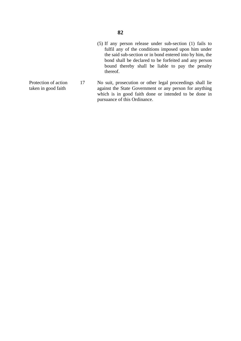- (5) If any person release under sub-section (1) fails to fulfil any of the conditions imposed upon him under the said sub-section or in bond entered into by him, the bond shall be declared to be forfeited and any person bound thereby shall be liable to pay the penalty thereof.
- taken in good faith 17 No suit, prosecution or other legal proceedings shall lie against the State Government or any person for anything which is in good faith done or intended to be done in pursuance of this Ordinance.
- Protection of action